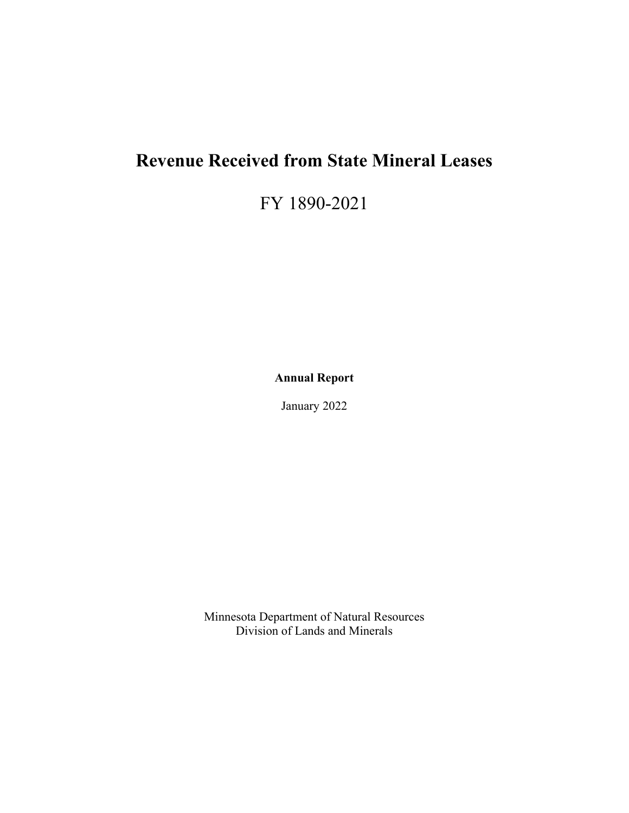# <span id="page-0-0"></span>**Revenue Received from State Mineral Leases**

FY 1890-2021

**Annual Report**

January 2022

Minnesota Department of Natural Resources Division of Lands and Minerals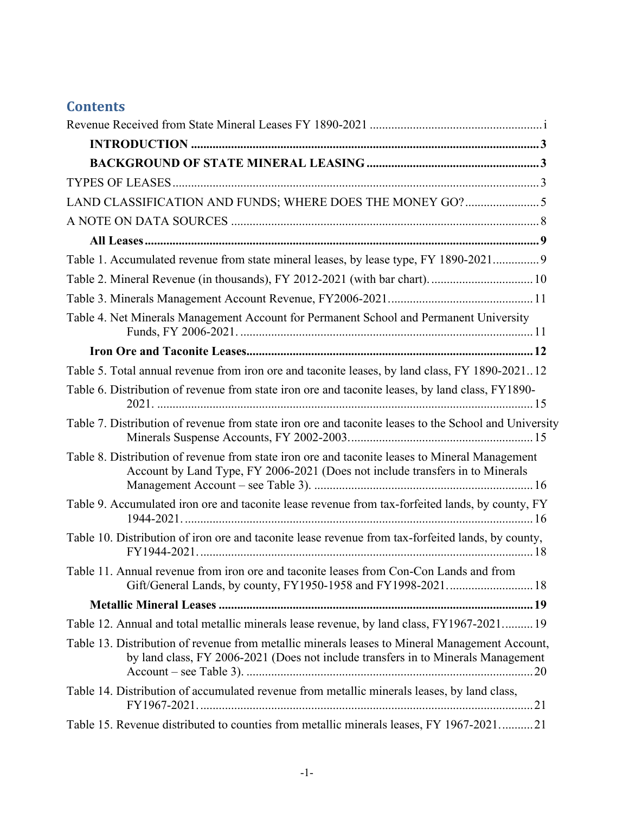# **Contents**

| LAND CLASSIFICATION AND FUNDS; WHERE DOES THE MONEY GO?5                                                                                                                            |
|-------------------------------------------------------------------------------------------------------------------------------------------------------------------------------------|
|                                                                                                                                                                                     |
|                                                                                                                                                                                     |
| Table 1. Accumulated revenue from state mineral leases, by lease type, FY 1890-2021 9                                                                                               |
| Table 2. Mineral Revenue (in thousands), FY 2012-2021 (with bar chart).  10                                                                                                         |
|                                                                                                                                                                                     |
| Table 4. Net Minerals Management Account for Permanent School and Permanent University                                                                                              |
|                                                                                                                                                                                     |
| Table 5. Total annual revenue from iron ore and taconite leases, by land class, FY 1890-202112                                                                                      |
| Table 6. Distribution of revenue from state iron ore and taconite leases, by land class, FY1890-                                                                                    |
| Table 7. Distribution of revenue from state iron ore and taconite leases to the School and University                                                                               |
| Table 8. Distribution of revenue from state iron ore and taconite leases to Mineral Management<br>Account by Land Type, FY 2006-2021 (Does not include transfers in to Minerals     |
| Table 9. Accumulated iron ore and taconite lease revenue from tax-forfeited lands, by county, FY                                                                                    |
| Table 10. Distribution of iron ore and taconite lease revenue from tax-forfeited lands, by county,                                                                                  |
| Table 11. Annual revenue from iron ore and taconite leases from Con-Con Lands and from<br>Gift/General Lands, by county, FY1950-1958 and FY1998-2021 18                             |
|                                                                                                                                                                                     |
| Table 12. Annual and total metallic minerals lease revenue, by land class, FY1967-2021 19                                                                                           |
| Table 13. Distribution of revenue from metallic minerals leases to Mineral Management Account,<br>by land class, FY 2006-2021 (Does not include transfers in to Minerals Management |
| Table 14. Distribution of accumulated revenue from metallic minerals leases, by land class,                                                                                         |
| Table 15. Revenue distributed to counties from metallic minerals leases, FY 1967-202121                                                                                             |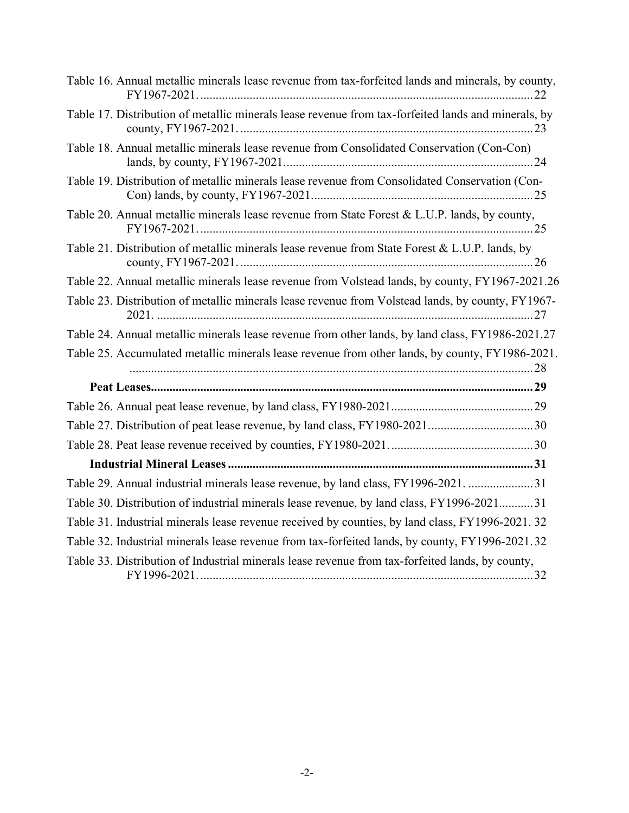| Table 16. Annual metallic minerals lease revenue from tax-forfeited lands and minerals, by county,  |
|-----------------------------------------------------------------------------------------------------|
| Table 17. Distribution of metallic minerals lease revenue from tax-forfeited lands and minerals, by |
| Table 18. Annual metallic minerals lease revenue from Consolidated Conservation (Con-Con)           |
| Table 19. Distribution of metallic minerals lease revenue from Consolidated Conservation (Con-      |
| Table 20. Annual metallic minerals lease revenue from State Forest & L.U.P. lands, by county,       |
| Table 21. Distribution of metallic minerals lease revenue from State Forest & L.U.P. lands, by      |
| Table 22. Annual metallic minerals lease revenue from Volstead lands, by county, FY1967-2021.26     |
| Table 23. Distribution of metallic minerals lease revenue from Volstead lands, by county, FY1967-   |
| Table 24. Annual metallic minerals lease revenue from other lands, by land class, FY1986-2021.27    |
| Table 25. Accumulated metallic minerals lease revenue from other lands, by county, FY1986-2021.     |
|                                                                                                     |
|                                                                                                     |
| Table 27. Distribution of peat lease revenue, by land class, FY1980-202130                          |
|                                                                                                     |
|                                                                                                     |
| Table 29. Annual industrial minerals lease revenue, by land class, FY1996-2021. 31                  |
| Table 30. Distribution of industrial minerals lease revenue, by land class, FY1996-202131           |
| Table 31. Industrial minerals lease revenue received by counties, by land class, FY1996-2021. 32    |
| Table 32. Industrial minerals lease revenue from tax-forfeited lands, by county, FY1996-2021.32     |
| Table 33. Distribution of Industrial minerals lease revenue from tax-forfeited lands, by county,    |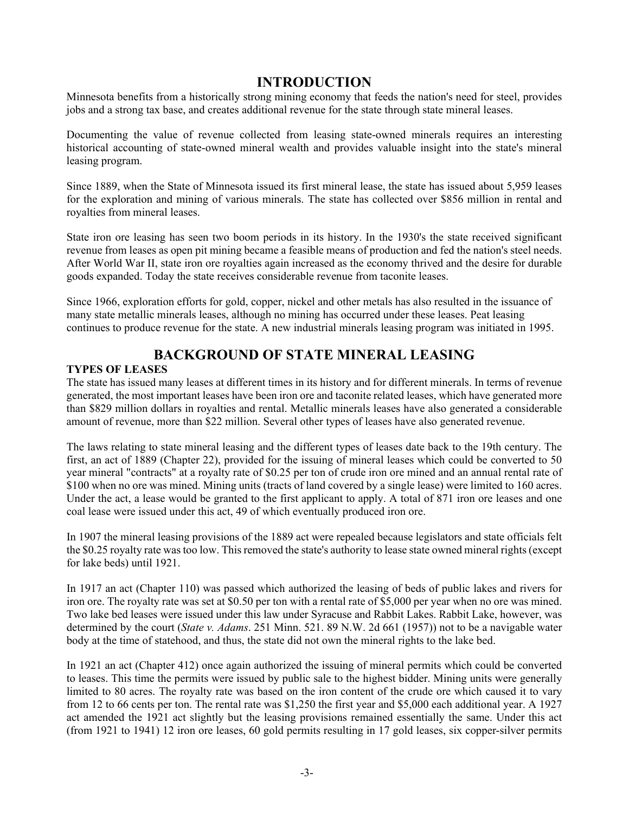### **INTRODUCTION**

<span id="page-3-0"></span>Minnesota benefits from a historically strong mining economy that feeds the nation's need for steel, provides jobs and a strong tax base, and creates additional revenue for the state through state mineral leases.

Documenting the value of revenue collected from leasing state-owned minerals requires an interesting historical accounting of state-owned mineral wealth and provides valuable insight into the state's mineral leasing program.

Since 1889, when the State of Minnesota issued its first mineral lease, the state has issued about 5,959 leases for the exploration and mining of various minerals. The state has collected over \$856 million in rental and royalties from mineral leases.

State iron ore leasing has seen two boom periods in its history. In the 1930's the state received significant revenue from leases as open pit mining became a feasible means of production and fed the nation's steel needs. After World War II, state iron ore royalties again increased as the economy thrived and the desire for durable goods expanded. Today the state receives considerable revenue from taconite leases.

Since 1966, exploration efforts for gold, copper, nickel and other metals has also resulted in the issuance of many state metallic minerals leases, although no mining has occurred under these leases. Peat leasing continues to produce revenue for the state. A new industrial minerals leasing program was initiated in 1995.

# **BACKGROUND OF STATE MINERAL LEASING**

### <span id="page-3-2"></span><span id="page-3-1"></span>**TYPES OF LEASES**

The state has issued many leases at different times in its history and for different minerals. In terms of revenue generated, the most important leases have been iron ore and taconite related leases, which have generated more than \$829 million dollars in royalties and rental. Metallic minerals leases have also generated a considerable amount of revenue, more than \$22 million. Several other types of leases have also generated revenue.

The laws relating to state mineral leasing and the different types of leases date back to the 19th century. The first, an act of 1889 (Chapter 22), provided for the issuing of mineral leases which could be converted to 50 year mineral "contracts" at a royalty rate of \$0.25 per ton of crude iron ore mined and an annual rental rate of \$100 when no ore was mined. Mining units (tracts of land covered by a single lease) were limited to 160 acres. Under the act, a lease would be granted to the first applicant to apply. A total of 871 iron ore leases and one coal lease were issued under this act, 49 of which eventually produced iron ore.

In 1907 the mineral leasing provisions of the 1889 act were repealed because legislators and state officials felt the \$0.25 royalty rate was too low. This removed the state's authority to lease state owned mineral rights (except for lake beds) until 1921.

In 1917 an act (Chapter 110) was passed which authorized the leasing of beds of public lakes and rivers for iron ore. The royalty rate was set at \$0.50 per ton with a rental rate of \$5,000 per year when no ore was mined. Two lake bed leases were issued under this law under Syracuse and Rabbit Lakes. Rabbit Lake, however, was determined by the court (*State v. Adams*. 251 Minn. 521. 89 N.W. 2d 661 (1957)) not to be a navigable water body at the time of statehood, and thus, the state did not own the mineral rights to the lake bed.

In 1921 an act (Chapter 412) once again authorized the issuing of mineral permits which could be converted to leases. This time the permits were issued by public sale to the highest bidder. Mining units were generally limited to 80 acres. The royalty rate was based on the iron content of the crude ore which caused it to vary from 12 to 66 cents per ton. The rental rate was \$1,250 the first year and \$5,000 each additional year. A 1927 act amended the 1921 act slightly but the leasing provisions remained essentially the same. Under this act (from 1921 to 1941) 12 iron ore leases, 60 gold permits resulting in 17 gold leases, six copper-silver permits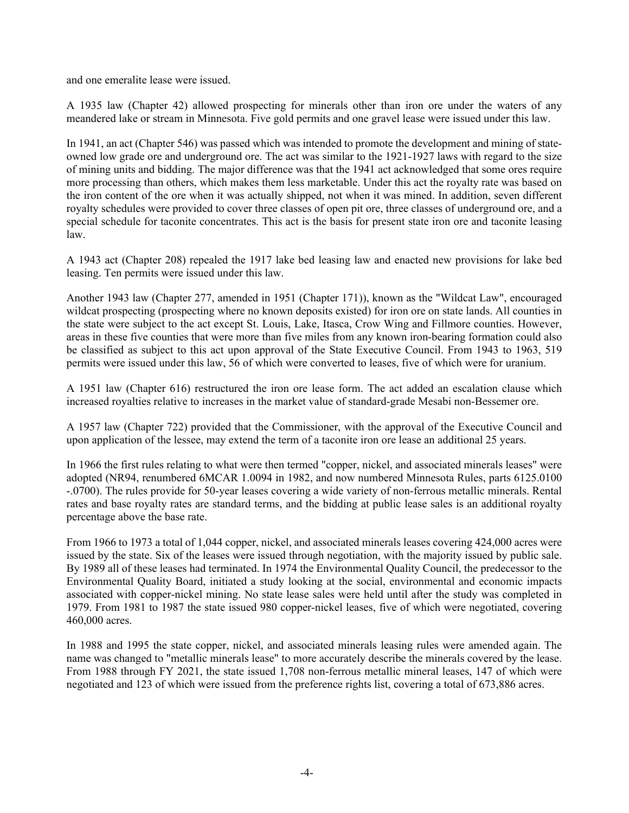and one emeralite lease were issued.

A 1935 law (Chapter 42) allowed prospecting for minerals other than iron ore under the waters of any meandered lake or stream in Minnesota. Five gold permits and one gravel lease were issued under this law.

In 1941, an act (Chapter 546) was passed which was intended to promote the development and mining of stateowned low grade ore and underground ore. The act was similar to the 1921-1927 laws with regard to the size of mining units and bidding. The major difference was that the 1941 act acknowledged that some ores require more processing than others, which makes them less marketable. Under this act the royalty rate was based on the iron content of the ore when it was actually shipped, not when it was mined. In addition, seven different royalty schedules were provided to cover three classes of open pit ore, three classes of underground ore, and a special schedule for taconite concentrates. This act is the basis for present state iron ore and taconite leasing law.

A 1943 act (Chapter 208) repealed the 1917 lake bed leasing law and enacted new provisions for lake bed leasing. Ten permits were issued under this law.

Another 1943 law (Chapter 277, amended in 1951 (Chapter 171)), known as the "Wildcat Law", encouraged wildcat prospecting (prospecting where no known deposits existed) for iron ore on state lands. All counties in the state were subject to the act except St. Louis, Lake, Itasca, Crow Wing and Fillmore counties. However, areas in these five counties that were more than five miles from any known iron-bearing formation could also be classified as subject to this act upon approval of the State Executive Council. From 1943 to 1963, 519 permits were issued under this law, 56 of which were converted to leases, five of which were for uranium.

A 1951 law (Chapter 616) restructured the iron ore lease form. The act added an escalation clause which increased royalties relative to increases in the market value of standard-grade Mesabi non-Bessemer ore.

A 1957 law (Chapter 722) provided that the Commissioner, with the approval of the Executive Council and upon application of the lessee, may extend the term of a taconite iron ore lease an additional 25 years.

In 1966 the first rules relating to what were then termed "copper, nickel, and associated minerals leases" were adopted (NR94, renumbered 6MCAR 1.0094 in 1982, and now numbered Minnesota Rules, parts 6125.0100 -.0700). The rules provide for 50-year leases covering a wide variety of non-ferrous metallic minerals. Rental rates and base royalty rates are standard terms, and the bidding at public lease sales is an additional royalty percentage above the base rate.

From 1966 to 1973 a total of 1,044 copper, nickel, and associated minerals leases covering 424,000 acres were issued by the state. Six of the leases were issued through negotiation, with the majority issued by public sale. By 1989 all of these leases had terminated. In 1974 the Environmental Quality Council, the predecessor to the Environmental Quality Board, initiated a study looking at the social, environmental and economic impacts associated with copper-nickel mining. No state lease sales were held until after the study was completed in 1979. From 1981 to 1987 the state issued 980 copper-nickel leases, five of which were negotiated, covering 460,000 acres.

In 1988 and 1995 the state copper, nickel, and associated minerals leasing rules were amended again. The name was changed to "metallic minerals lease" to more accurately describe the minerals covered by the lease. From 1988 through FY 2021, the state issued 1,708 non-ferrous metallic mineral leases, 147 of which were negotiated and 123 of which were issued from the preference rights list, covering a total of 673,886 acres.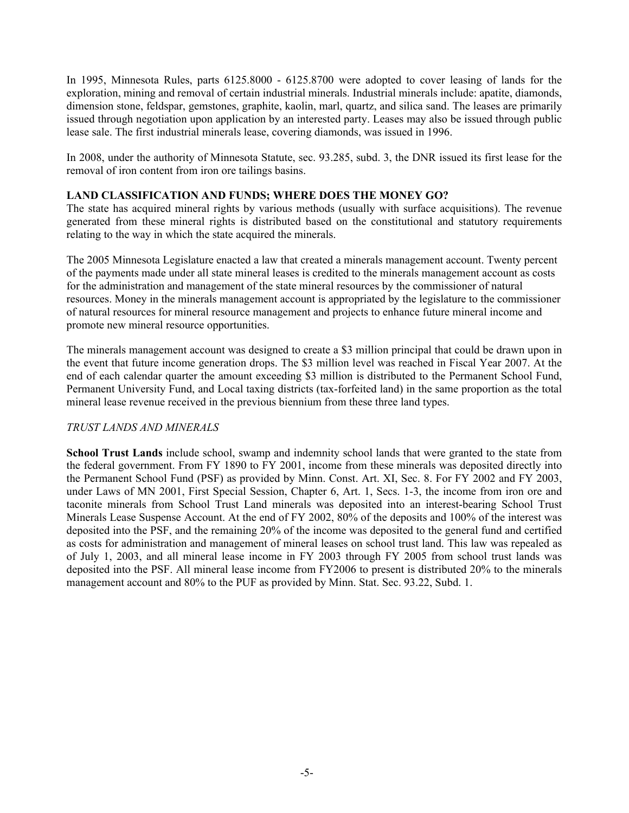In 1995, Minnesota Rules, parts 6125.8000 - 6125.8700 were adopted to cover leasing of lands for the exploration, mining and removal of certain industrial minerals. Industrial minerals include: apatite, diamonds, dimension stone, feldspar, gemstones, graphite, kaolin, marl, quartz, and silica sand. The leases are primarily issued through negotiation upon application by an interested party. Leases may also be issued through public lease sale. The first industrial minerals lease, covering diamonds, was issued in 1996.

In 2008, under the authority of Minnesota Statute, sec. 93.285, subd. 3, the DNR issued its first lease for the removal of iron content from iron ore tailings basins.

### <span id="page-5-0"></span>**LAND CLASSIFICATION AND FUNDS; WHERE DOES THE MONEY GO?**

The state has acquired mineral rights by various methods (usually with surface acquisitions). The revenue generated from these mineral rights is distributed based on the constitutional and statutory requirements relating to the way in which the state acquired the minerals.

The 2005 Minnesota Legislature enacted a law that created a minerals management account. Twenty percent of the payments made under all state mineral leases is credited to the minerals management account as costs for the administration and management of the state mineral resources by the commissioner of natural resources. Money in the minerals management account is appropriated by the legislature to the commissioner of natural resources for mineral resource management and projects to enhance future mineral income and promote new mineral resource opportunities.

The minerals management account was designed to create a \$3 million principal that could be drawn upon in the event that future income generation drops. The \$3 million level was reached in Fiscal Year 2007. At the end of each calendar quarter the amount exceeding \$3 million is distributed to the Permanent School Fund, Permanent University Fund, and Local taxing districts (tax-forfeited land) in the same proportion as the total mineral lease revenue received in the previous biennium from these three land types.

### *TRUST LANDS AND MINERALS*

**School Trust Lands** include school, swamp and indemnity school lands that were granted to the state from the federal government. From FY 1890 to FY 2001, income from these minerals was deposited directly into the Permanent School Fund (PSF) as provided by Minn. Const. Art. XI, Sec. 8. For FY 2002 and FY 2003, under Laws of MN 2001, First Special Session, Chapter 6, Art. 1, Secs. 1-3, the income from iron ore and taconite minerals from School Trust Land minerals was deposited into an interest-bearing School Trust Minerals Lease Suspense Account. At the end of FY 2002, 80% of the deposits and 100% of the interest was deposited into the PSF, and the remaining 20% of the income was deposited to the general fund and certified as costs for administration and management of mineral leases on school trust land. This law was repealed as of July 1, 2003, and all mineral lease income in FY 2003 through FY 2005 from school trust lands was deposited into the PSF. All mineral lease income from FY2006 to present is distributed 20% to the minerals management account and 80% to the PUF as provided by Minn. Stat. Sec. 93.22, Subd. 1.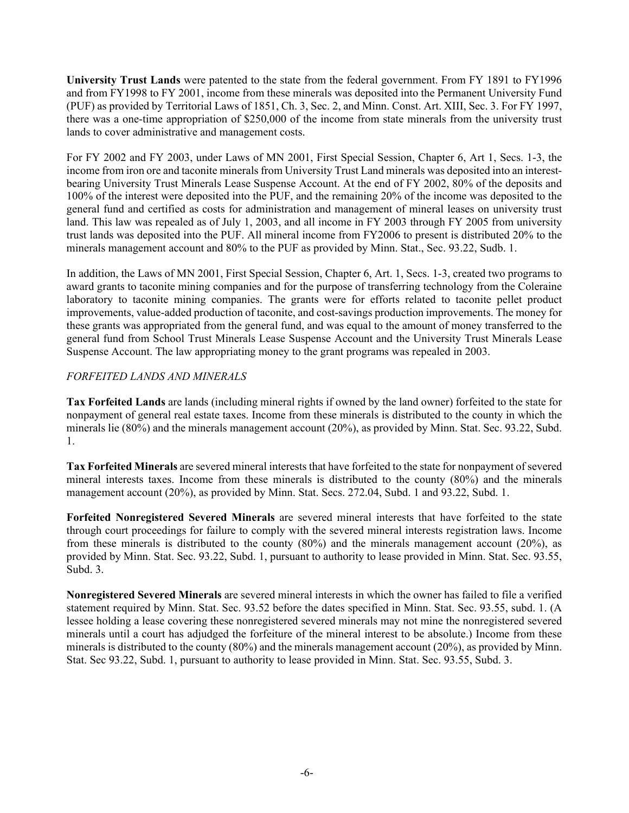**University Trust Lands** were patented to the state from the federal government. From FY 1891 to FY1996 and from FY1998 to FY 2001, income from these minerals was deposited into the Permanent University Fund (PUF) as provided by Territorial Laws of 1851, Ch. 3, Sec. 2, and Minn. Const. Art. XIII, Sec. 3. For FY 1997, there was a one-time appropriation of \$250,000 of the income from state minerals from the university trust lands to cover administrative and management costs.

For FY 2002 and FY 2003, under Laws of MN 2001, First Special Session, Chapter 6, Art 1, Secs. 1-3, the income from iron ore and taconite minerals from University Trust Land minerals was deposited into an interestbearing University Trust Minerals Lease Suspense Account. At the end of FY 2002, 80% of the deposits and 100% of the interest were deposited into the PUF, and the remaining 20% of the income was deposited to the general fund and certified as costs for administration and management of mineral leases on university trust land. This law was repealed as of July 1, 2003, and all income in FY 2003 through FY 2005 from university trust lands was deposited into the PUF. All mineral income from FY2006 to present is distributed 20% to the minerals management account and 80% to the PUF as provided by Minn. Stat., Sec. 93.22, Sudb. 1.

In addition, the Laws of MN 2001, First Special Session, Chapter 6, Art. 1, Secs. 1-3, created two programs to award grants to taconite mining companies and for the purpose of transferring technology from the Coleraine laboratory to taconite mining companies. The grants were for efforts related to taconite pellet product improvements, value-added production of taconite, and cost-savings production improvements. The money for these grants was appropriated from the general fund, and was equal to the amount of money transferred to the general fund from School Trust Minerals Lease Suspense Account and the University Trust Minerals Lease Suspense Account. The law appropriating money to the grant programs was repealed in 2003.

### *FORFEITED LANDS AND MINERALS*

**Tax Forfeited Lands** are lands (including mineral rights if owned by the land owner) forfeited to the state for nonpayment of general real estate taxes. Income from these minerals is distributed to the county in which the minerals lie (80%) and the minerals management account (20%), as provided by Minn. Stat. Sec. 93.22, Subd. 1.

**Tax Forfeited Minerals** are severed mineral interests that have forfeited to the state for nonpayment of severed mineral interests taxes. Income from these minerals is distributed to the county (80%) and the minerals management account (20%), as provided by Minn. Stat. Secs. 272.04, Subd. 1 and 93.22, Subd. 1.

**Forfeited Nonregistered Severed Minerals** are severed mineral interests that have forfeited to the state through court proceedings for failure to comply with the severed mineral interests registration laws. Income from these minerals is distributed to the county (80%) and the minerals management account (20%), as provided by Minn. Stat. Sec. 93.22, Subd. 1, pursuant to authority to lease provided in Minn. Stat. Sec. 93.55, Subd. 3.

**Nonregistered Severed Minerals** are severed mineral interests in which the owner has failed to file a verified statement required by Minn. Stat. Sec. 93.52 before the dates specified in Minn. Stat. Sec. 93.55, subd. 1. (A lessee holding a lease covering these nonregistered severed minerals may not mine the nonregistered severed minerals until a court has adjudged the forfeiture of the mineral interest to be absolute.) Income from these minerals is distributed to the county (80%) and the minerals management account (20%), as provided by Minn. Stat. Sec 93.22, Subd. 1, pursuant to authority to lease provided in Minn. Stat. Sec. 93.55, Subd. 3.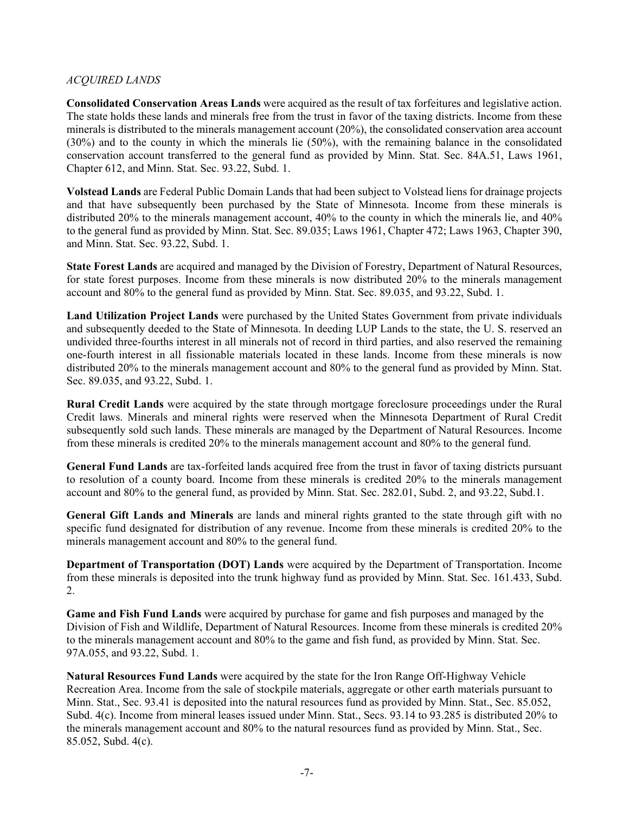### *ACQUIRED LANDS*

**Consolidated Conservation Areas Lands** were acquired as the result of tax forfeitures and legislative action. The state holds these lands and minerals free from the trust in favor of the taxing districts. Income from these minerals is distributed to the minerals management account (20%), the consolidated conservation area account (30%) and to the county in which the minerals lie (50%), with the remaining balance in the consolidated conservation account transferred to the general fund as provided by Minn. Stat. Sec. 84A.51, Laws 1961, Chapter 612, and Minn. Stat. Sec. 93.22, Subd. 1.

**Volstead Lands** are Federal Public Domain Lands that had been subject to Volstead liens for drainage projects and that have subsequently been purchased by the State of Minnesota. Income from these minerals is distributed 20% to the minerals management account, 40% to the county in which the minerals lie, and 40% to the general fund as provided by Minn. Stat. Sec. 89.035; Laws 1961, Chapter 472; Laws 1963, Chapter 390, and Minn. Stat. Sec. 93.22, Subd. 1.

**State Forest Lands** are acquired and managed by the Division of Forestry, Department of Natural Resources, for state forest purposes. Income from these minerals is now distributed 20% to the minerals management account and 80% to the general fund as provided by Minn. Stat. Sec. 89.035, and 93.22, Subd. 1.

**Land Utilization Project Lands** were purchased by the United States Government from private individuals and subsequently deeded to the State of Minnesota. In deeding LUP Lands to the state, the U. S. reserved an undivided three-fourths interest in all minerals not of record in third parties, and also reserved the remaining one-fourth interest in all fissionable materials located in these lands. Income from these minerals is now distributed 20% to the minerals management account and 80% to the general fund as provided by Minn. Stat. Sec. 89.035, and 93.22, Subd. 1.

**Rural Credit Lands** were acquired by the state through mortgage foreclosure proceedings under the Rural Credit laws. Minerals and mineral rights were reserved when the Minnesota Department of Rural Credit subsequently sold such lands. These minerals are managed by the Department of Natural Resources. Income from these minerals is credited 20% to the minerals management account and 80% to the general fund.

**General Fund Lands** are tax-forfeited lands acquired free from the trust in favor of taxing districts pursuant to resolution of a county board. Income from these minerals is credited 20% to the minerals management account and 80% to the general fund, as provided by Minn. Stat. Sec. 282.01, Subd. 2, and 93.22, Subd.1.

**General Gift Lands and Minerals** are lands and mineral rights granted to the state through gift with no specific fund designated for distribution of any revenue. Income from these minerals is credited 20% to the minerals management account and 80% to the general fund.

**Department of Transportation (DOT) Lands** were acquired by the Department of Transportation. Income from these minerals is deposited into the trunk highway fund as provided by Minn. Stat. Sec. 161.433, Subd. 2.

**Game and Fish Fund Lands** were acquired by purchase for game and fish purposes and managed by the Division of Fish and Wildlife, Department of Natural Resources. Income from these minerals is credited 20% to the minerals management account and 80% to the game and fish fund, as provided by Minn. Stat. Sec. 97A.055, and 93.22, Subd. 1.

**Natural Resources Fund Lands** were acquired by the state for the Iron Range Off-Highway Vehicle Recreation Area. Income from the sale of stockpile materials, aggregate or other earth materials pursuant to Minn. Stat., Sec. 93.41 is deposited into the natural resources fund as provided by Minn. Stat., Sec. 85.052, Subd. 4(c). Income from mineral leases issued under Minn. Stat., Secs. 93.14 to 93.285 is distributed 20% to the minerals management account and 80% to the natural resources fund as provided by Minn. Stat., Sec. 85.052, Subd. 4(c).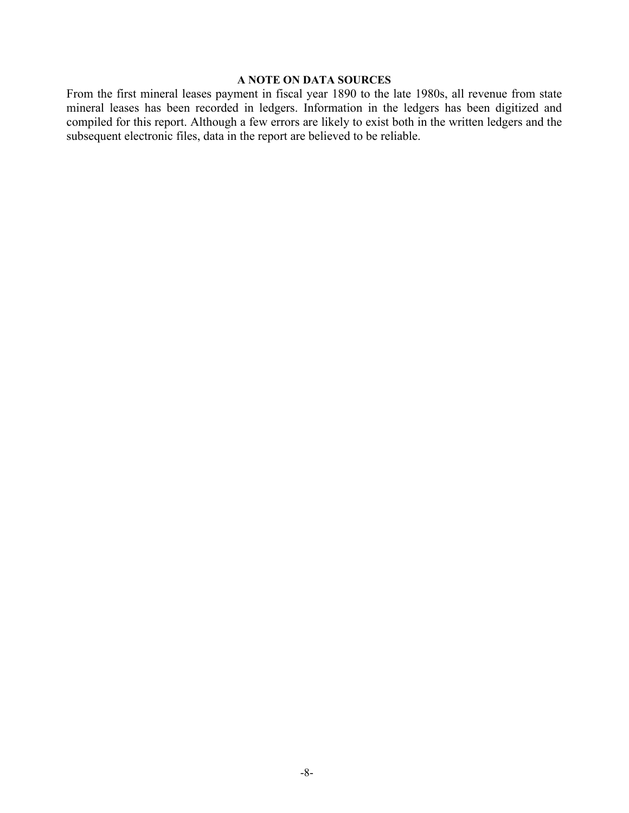### **A NOTE ON DATA SOURCES**

<span id="page-8-0"></span>From the first mineral leases payment in fiscal year 1890 to the late 1980s, all revenue from state mineral leases has been recorded in ledgers. Information in the ledgers has been digitized and compiled for this report. Although a few errors are likely to exist both in the written ledgers and the subsequent electronic files, data in the report are believed to be reliable.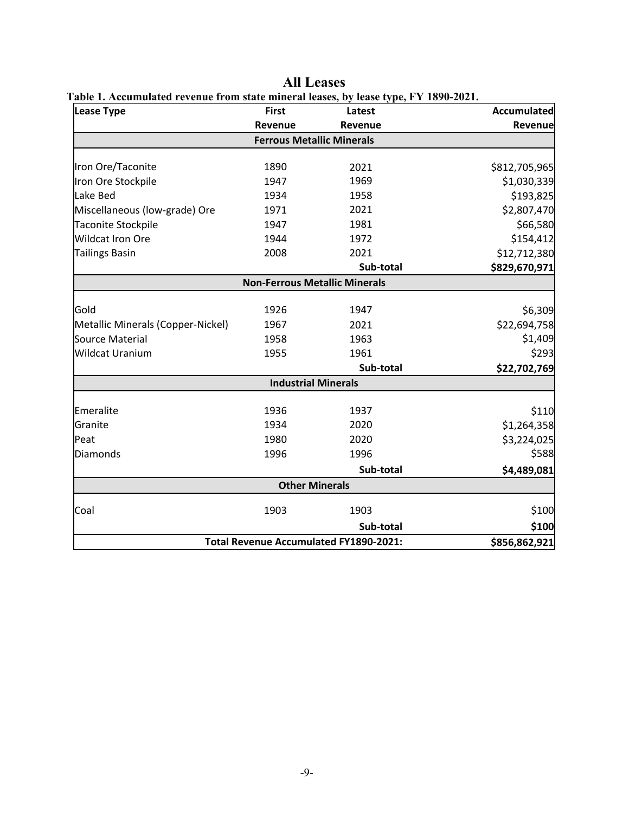<span id="page-9-1"></span><span id="page-9-0"></span>

| <b>Lease Type</b>                 | <b>First</b>                         | Latest                                        | <b>Accumulated</b> |
|-----------------------------------|--------------------------------------|-----------------------------------------------|--------------------|
|                                   | Revenue                              | Revenue                                       | Revenue            |
|                                   | <b>Ferrous Metallic Minerals</b>     |                                               |                    |
|                                   |                                      |                                               |                    |
| Iron Ore/Taconite                 | 1890                                 | 2021                                          | \$812,705,965      |
| Iron Ore Stockpile                | 1947                                 | 1969                                          | \$1,030,339        |
| Lake Bed                          | 1934                                 | 1958                                          | \$193,825          |
| Miscellaneous (low-grade) Ore     | 1971                                 | 2021                                          | \$2,807,470        |
| <b>Taconite Stockpile</b>         | 1947                                 | 1981                                          | \$66,580           |
| <b>Wildcat Iron Ore</b>           | 1944                                 | 1972                                          | \$154,412          |
| <b>Tailings Basin</b>             | 2008                                 | 2021                                          | \$12,712,380       |
|                                   |                                      | Sub-total                                     | \$829,670,971      |
|                                   | <b>Non-Ferrous Metallic Minerals</b> |                                               |                    |
| Gold                              | 1926                                 | 1947                                          | \$6,309            |
| Metallic Minerals (Copper-Nickel) | 1967                                 | 2021                                          | \$22,694,758       |
| Source Material                   | 1958                                 | 1963                                          | \$1,409            |
| <b>Wildcat Uranium</b>            | 1955                                 | 1961                                          | \$293              |
|                                   |                                      | Sub-total                                     | \$22,702,769       |
|                                   | <b>Industrial Minerals</b>           |                                               |                    |
| Emeralite                         | 1936                                 | 1937                                          | \$110              |
| Granite                           | 1934                                 | 2020                                          | \$1,264,358        |
| Peat                              | 1980                                 | 2020                                          | \$3,224,025        |
| Diamonds                          | 1996                                 | 1996                                          | \$588              |
|                                   |                                      | Sub-total                                     | \$4,489,081        |
|                                   | <b>Other Minerals</b>                |                                               |                    |
| Coal                              | 1903                                 | 1903                                          | \$100              |
|                                   |                                      | Sub-total                                     | \$100              |
|                                   |                                      | <b>Total Revenue Accumulated FY1890-2021:</b> | \$856,862,921      |

**All Leases**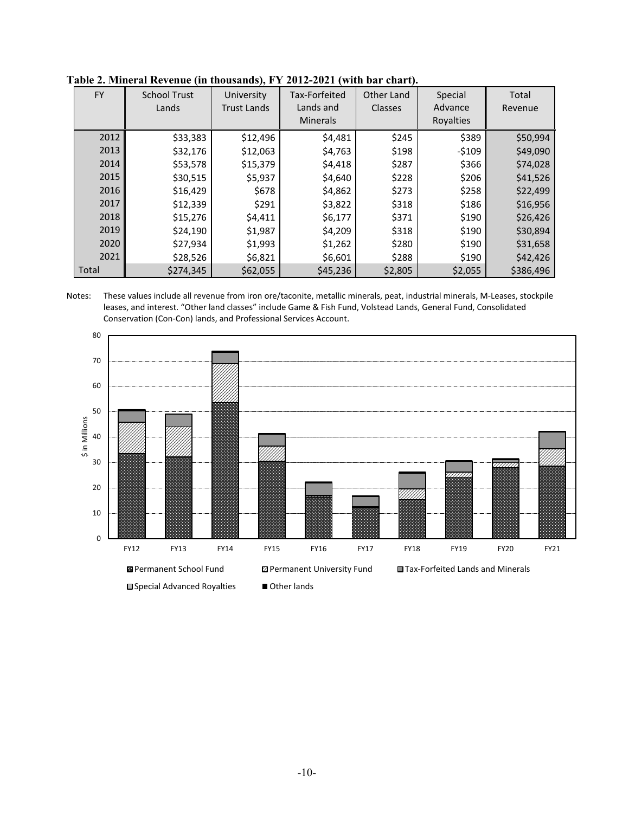| <b>FY</b> | <b>School Trust</b><br>Lands | University<br><b>Trust Lands</b> | Tax-Forfeited<br>Lands and<br><b>Minerals</b> | Other Land<br><b>Classes</b> | Special<br>Advance<br>Royalties | Total<br>Revenue |
|-----------|------------------------------|----------------------------------|-----------------------------------------------|------------------------------|---------------------------------|------------------|
| 2012      | \$33,383                     | \$12,496                         | \$4,481                                       | \$245                        | \$389                           | \$50,994         |
| 2013      | \$32,176                     | \$12,063                         | \$4,763                                       | \$198                        | $-5109$                         | \$49,090         |
| 2014      | \$53,578                     | \$15,379                         | \$4,418                                       | \$287                        | \$366                           | \$74,028         |
| 2015      | \$30,515                     | \$5,937                          | \$4,640                                       | \$228                        | \$206                           | \$41,526         |
| 2016      | \$16,429                     | \$678                            | \$4,862                                       | \$273                        | \$258                           | \$22,499         |
| 2017      | \$12,339                     | \$291                            | \$3,822                                       | \$318                        | \$186                           | \$16,956         |
| 2018      | \$15,276                     | \$4,411                          | \$6,177                                       | \$371                        | \$190                           | \$26,426         |
| 2019      | \$24,190                     | \$1,987                          | \$4,209                                       | \$318                        | \$190                           | \$30,894         |
| 2020      | \$27,934                     | \$1,993                          | \$1,262                                       | \$280                        | \$190                           | \$31,658         |
| 2021      | \$28,526                     | \$6,821                          | \$6,601                                       | \$288                        | \$190                           | \$42,426         |
| Total     | \$274,345                    | \$62,055                         | \$45,236                                      | \$2,805                      | \$2,055                         | \$386,496        |

<span id="page-10-0"></span>

Notes: These values include all revenue from iron ore/taconite, metallic minerals, peat, industrial minerals, M-Leases, stockpile leases, and interest. "Other land classes" include Game & Fish Fund, Volstead Lands, General Fund, Consolidated Conservation (Con-Con) lands, and Professional Services Account.

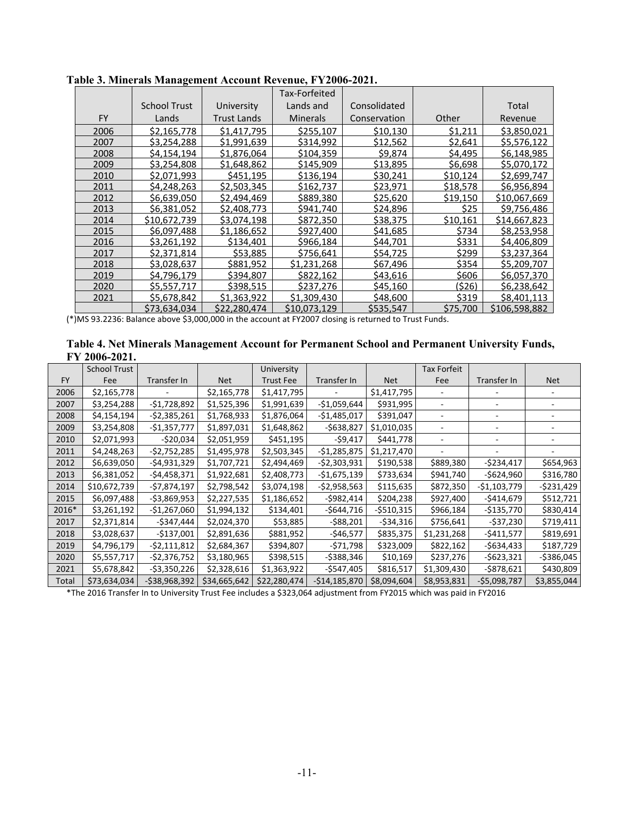|           |                     |                   | Tax-Forfeited   |              |          |               |
|-----------|---------------------|-------------------|-----------------|--------------|----------|---------------|
|           | <b>School Trust</b> | <b>University</b> | Lands and       | Consolidated |          | Total         |
| <b>FY</b> | Lands               | Trust Lands       | <b>Minerals</b> | Conservation | Other    | Revenue       |
| 2006      | \$2.165.778         | \$1,417,795       | \$255.107       | \$10.130     | \$1.211  | \$3.850.021   |
| 2007      | \$3.254.288         | \$1.991.639       | \$314.992       | \$12.562     | \$2.641  | \$5.576.122   |
| 2008      | \$4.154.194         | \$1,876,064       | \$104,359       | \$9,874      | \$4,495  | \$6,148,985   |
| 2009      | \$3,254,808         | \$1,648,862       | \$145,909       | \$13,895     | \$6,698  | \$5,070,172   |
| 2010      | \$2,071,993         | \$451,195         | \$136,194       | \$30,241     | \$10,124 | \$2,699,747   |
| 2011      | \$4.248.263         | \$2.503.345       | \$162.737       | \$23.971     | \$18.578 | \$6,956,894   |
| 2012      | \$6,639,050         | \$2,494,469       | \$889.380       | \$25.620     | \$19.150 | \$10.067.669  |
| 2013      | \$6,381,052         | \$2,408,773       | \$941,740       | \$24,896     | \$25     | \$9,756,486   |
| 2014      | \$10.672.739        | \$3,074,198       | \$872,350       | \$38,375     | \$10,161 | \$14,667,823  |
| 2015      | \$6,097,488         | \$1,186,652       | \$927,400       | \$41,685     | \$734    | \$8,253,958   |
| 2016      | \$3.261.192         | \$134.401         | \$966,184       | \$44,701     | \$331    | \$4,406,809   |
| 2017      | \$2.371.814         | \$53.885          | \$756.641       | \$54.725     | \$299    | \$3.237.364   |
| 2018      | \$3,028,637         | \$881,952         | \$1.231.268     | \$67,496     | \$354    | \$5.209.707   |
| 2019      | \$4,796,179         | \$394,807         | \$822,162       | \$43,616     | \$606    | \$6,057,370   |
| 2020      | \$5,557,717         | \$398,515         | \$237,276       | \$45,160     | (\$26)   | \$6,238,642   |
| 2021      | \$5,678,842         | \$1,363,922       | \$1,309,430     | \$48,600     | \$319    | \$8,401,113   |
|           | \$73.634.034        | \$22,280,474      | \$10.073.129    | \$535,547    | \$75.700 | \$106,598,882 |

<span id="page-11-0"></span>**Table 3. Minerals Management Account Revenue, FY2006-2021.** 

(\*)MS 93.2236: Balance above \$3,000,000 in the account at FY2007 closing is returned to Trust Funds.

<span id="page-11-1"></span>

| Table 4. Net Minerals Management Account for Permanent School and Permanent University Funds, |  |
|-----------------------------------------------------------------------------------------------|--|
| FY 2006-2021.                                                                                 |  |

|           | <b>School Trust</b> |                |              | University       |                |             | <b>Tax Forfeit</b> |               |               |
|-----------|---------------------|----------------|--------------|------------------|----------------|-------------|--------------------|---------------|---------------|
| <b>FY</b> | Fee                 | Transfer In    | <b>Net</b>   | <b>Trust Fee</b> | Transfer In    | <b>Net</b>  | Fee                | Transfer In   | <b>Net</b>    |
| 2006      | \$2,165,778         |                | \$2,165,778  | \$1,417,795      |                | \$1,417,795 |                    |               |               |
| 2007      | \$3,254,288         | $-$1,728,892$  | \$1,525,396  | \$1,991,639      | -\$1,059,644   | \$931,995   |                    |               |               |
| 2008      | \$4,154,194         | $-52,385,261$  | \$1,768,933  | \$1,876,064      | -\$1,485,017   | \$391,047   |                    |               |               |
| 2009      | \$3,254,808         | $-$1,357,777$  | \$1,897,031  | \$1,648,862      | $-$638,827$    | \$1,010,035 |                    |               |               |
| 2010      | \$2,071,993         | $-$20,034$     | \$2,051,959  | \$451,195        | -\$9,417       | \$441,778   |                    |               |               |
| 2011      | \$4,248,263         | $-52,752,285$  | \$1,495,978  | \$2,503,345      | $-$1,285,875$  | \$1,217,470 |                    |               |               |
| 2012      | \$6,639,050         | $-$4,931,329$  | \$1,707,721  | \$2,494,469      | -\$2,303,931   | \$190,538   | \$889,380          | -\$234,417    | \$654,963     |
| 2013      | \$6,381,052         | $-$4,458,371$  | \$1,922,681  | \$2,408,773      | -\$1,675,139   | \$733,634   | \$941,740          | -\$624,960    | \$316,780     |
| 2014      | \$10,672,739        | $-$7,874,197$  | \$2,798,542  | \$3,074,198      | -\$2,958,563   | \$115,635   | \$872,350          | -\$1,103,779  | $-5231,429$   |
| 2015      | \$6,097,488         | $-53,869,953$  | \$2,227,535  | \$1,186,652      | -\$982,414     | \$204,238   | \$927,400          | -\$414,679    | \$512,721     |
| 2016*     | \$3,261,192         | $-$1,267,060$  | \$1,994,132  | \$134,401        | -\$644,716     | $-$510,315$ | \$966,184          | -\$135,770    | \$830,414     |
| 2017      | \$2,371,814         | $-$347,444$    | \$2,024,370  | \$53,885         | $-$ \$88,201   | $-534,316$  | \$756,641          | -\$37,230     | \$719,411     |
| 2018      | \$3,028,637         | $-$137,001$    | \$2,891,636  | \$881,952        | $-$46,577$     | \$835,375   | \$1,231,268        | -\$411,577    | \$819,691     |
| 2019      | \$4,796,179         | $-52,111,812$  | \$2,684,367  | \$394,807        | -\$71,798      | \$323,009   | \$822,162          | $-$634,433$   | \$187,729     |
| 2020      | \$5,557,717         | $-$2,376,752$  | \$3,180,965  | \$398,515        | -\$388,346     | \$10,169    | \$237,276          | $-$623,321$   | $-$ \$386,045 |
| 2021      | \$5,678,842         | $-53,350,226$  | \$2,328,616  | \$1,363,922      | -\$547,405     | \$816,517   | \$1,309,430        | -\$878,621    | \$430,809     |
| Total     | \$73,634,034        | $-538,968,392$ | \$34,665,642 | \$22,280,474     | $-$14,185,870$ | \$8,094,604 | \$8,953,831        | $-$5,098,787$ | \$3,855,044   |

\*The 2016 Transfer In to University Trust Fee includes a \$323,064 adjustment from FY2015 which was paid in FY2016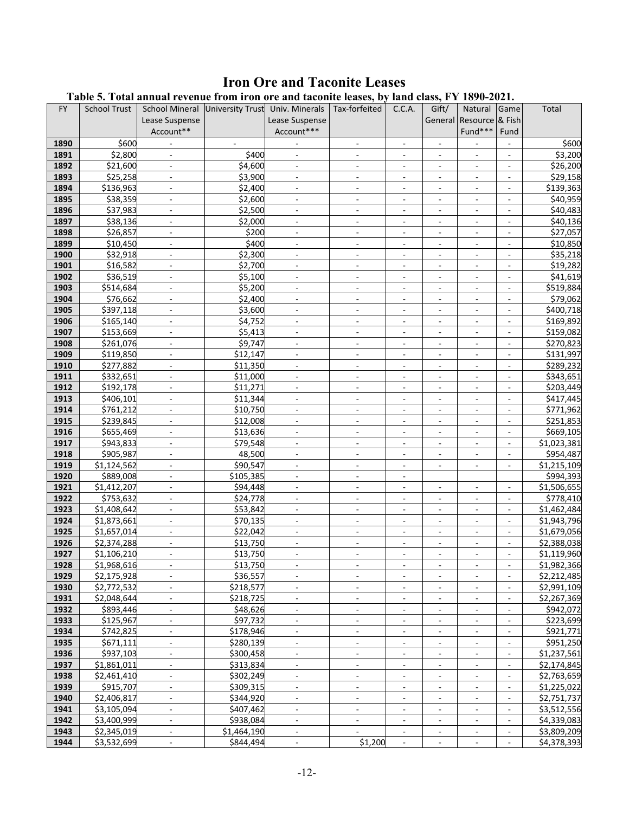# **Iron Ore and Taconite Leases**

<span id="page-12-1"></span><span id="page-12-0"></span>

|              | Table 5. Total annual revenue from iron ore and taconite leases, by land class, FY 1890-2021. |                                                |                    |                                            |                                                      |                                                      |                                                      |                                                      |                                    |                        |
|--------------|-----------------------------------------------------------------------------------------------|------------------------------------------------|--------------------|--------------------------------------------|------------------------------------------------------|------------------------------------------------------|------------------------------------------------------|------------------------------------------------------|------------------------------------|------------------------|
| <b>FY</b>    | <b>School Trust</b>                                                                           | School Mineral University Trust Univ. Minerals |                    |                                            | Tax-forfeited                                        | C.C.A.                                               | Gift/                                                | Natural                                              | Game                               | Total                  |
|              |                                                                                               | Lease Suspense                                 |                    | Lease Suspense                             |                                                      |                                                      | General                                              | Resource & Fish                                      |                                    |                        |
|              |                                                                                               | Account**                                      |                    | Account***                                 |                                                      |                                                      |                                                      | Fund***                                              | Fund                               |                        |
| 1890         | \$600                                                                                         |                                                | ۰.                 |                                            | $\overline{\phantom{a}}$                             | -                                                    |                                                      |                                                      |                                    | \$600                  |
| 1891         | \$2,800                                                                                       | $\blacksquare$                                 | \$400              | $\blacksquare$                             | $\blacksquare$                                       | $\overline{\phantom{a}}$                             | $\overline{\phantom{a}}$                             |                                                      | $\overline{\phantom{a}}$           | \$3,200                |
| 1892         | \$21,600                                                                                      | $\blacksquare$                                 | \$4,600            | $\overline{\phantom{a}}$                   | $\overline{\phantom{a}}$                             | $\overline{\phantom{a}}$                             | ٠                                                    |                                                      |                                    | \$26,200               |
| 1893         | \$25,258                                                                                      |                                                | \$3,900            | $\Box$                                     | ä,                                                   | ä,                                                   | $\frac{1}{2}$                                        |                                                      | $\Box$                             | \$29,158               |
| 1894         | \$136,963                                                                                     | $\omega$                                       | \$2,400            | $\blacksquare$                             | $\overline{\phantom{a}}$                             | $\overline{\phantom{a}}$                             | $\overline{\phantom{a}}$                             | $\overline{\phantom{a}}$                             | $\overline{\phantom{a}}$           | \$139,363              |
| 1895         | \$38,359                                                                                      | $\overline{\phantom{a}}$                       | \$2,600            | $\overline{\phantom{a}}$                   | $\overline{\phantom{a}}$                             | $\overline{\phantom{a}}$                             | $\overline{\phantom{a}}$                             | $\overline{\phantom{a}}$                             | $\overline{\phantom{a}}$           | \$40,959               |
| 1896         | \$37,983                                                                                      | $\blacksquare$                                 | \$2,500            | $\overline{\phantom{a}}$                   | $\overline{\phantom{a}}$                             | $\overline{\phantom{a}}$                             | $\overline{\phantom{a}}$                             | $\overline{\phantom{a}}$                             | $\overline{\phantom{a}}$           | \$40,483               |
| 1897         | \$38,136                                                                                      | $\blacksquare$                                 | \$2,000            | $\overline{\phantom{a}}$                   | $\blacksquare$                                       | $\overline{\phantom{a}}$                             |                                                      | $\overline{\phantom{a}}$                             |                                    | \$40,136               |
| 1898         | \$26,857                                                                                      |                                                | \$200              | $\Box$                                     | ä,                                                   | $\frac{1}{2}$                                        | ÷.                                                   |                                                      | $\Box$                             | \$27,057               |
| 1899         | \$10,450                                                                                      | $\omega$                                       | \$400              | $\blacksquare$                             | $\overline{\phantom{a}}$                             | $\overline{\phantom{a}}$                             | $\overline{\phantom{a}}$                             | $\blacksquare$                                       | $\overline{\phantom{a}}$           | \$10,850               |
| 1900         | \$32,918                                                                                      | $\overline{\phantom{a}}$                       | \$2,300            |                                            |                                                      |                                                      | $\overline{\phantom{a}}$                             |                                                      | $\overline{\phantom{a}}$           | \$35,218               |
| 1901         | \$16,582                                                                                      | $\blacksquare$                                 | \$2,700            | $\blacksquare$<br>$\blacksquare$           | $\overline{\phantom{a}}$<br>$\overline{\phantom{a}}$ | $\overline{\phantom{a}}$<br>$\overline{\phantom{a}}$ | $\overline{\phantom{a}}$                             | $\overline{\phantom{a}}$<br>$\overline{\phantom{a}}$ | $\overline{\phantom{a}}$           | \$19,282               |
| 1902         | \$36,519                                                                                      | $\blacksquare$                                 | \$5,100            |                                            | $\blacksquare$                                       |                                                      | ٠                                                    |                                                      | $\overline{\phantom{a}}$           | \$41,619               |
| 1903         |                                                                                               |                                                |                    | $\overline{\phantom{a}}$<br>$\Box$         | ä,                                                   | $\overline{\phantom{a}}$<br>$\overline{\phantom{a}}$ | $\frac{1}{2}$                                        | $\overline{\phantom{a}}$                             | $\Box$                             |                        |
|              | \$514,684                                                                                     | $\omega$                                       | \$5,200            |                                            |                                                      |                                                      |                                                      |                                                      |                                    | \$519,884<br>\$79,062  |
| 1904         | \$76,662                                                                                      |                                                | \$2,400            | $\blacksquare$                             | $\overline{\phantom{a}}$                             | $\overline{\phantom{a}}$                             | $\overline{\phantom{a}}$                             | $\overline{\phantom{a}}$                             | $\blacksquare$                     |                        |
| 1905         | \$397,118                                                                                     | $\overline{\phantom{a}}$                       | \$3,600            | $\overline{\phantom{a}}$                   | $\overline{\phantom{a}}$                             | $\overline{\phantom{a}}$                             | $\overline{\phantom{a}}$                             | $\overline{\phantom{a}}$                             | $\overline{\phantom{a}}$           | \$400,718              |
| 1906<br>1907 | \$165,140<br>\$153,669                                                                        | $\blacksquare$<br>$\blacksquare$               | \$4,752<br>\$5,413 | $\overline{\phantom{a}}$                   | $\overline{\phantom{a}}$                             | $\overline{\phantom{a}}$                             | $\overline{\phantom{a}}$                             | $\overline{\phantom{a}}$                             | $\overline{\phantom{a}}$           | \$169,892<br>\$159,082 |
| 1908         | \$261,076                                                                                     | $\omega$                                       | \$9,747            | $\overline{\phantom{a}}$<br>$\Box$         | $\blacksquare$<br>$\Box$                             | $\overline{\phantom{a}}$<br>$\frac{1}{2}$            | ÷.                                                   | $\overline{\phantom{a}}$<br>$\Box$                   | $\overline{\phantom{a}}$<br>$\Box$ | \$270,823              |
| 1909         | \$119,850                                                                                     | $\omega$                                       | \$12,147           | $\sim$                                     | $\overline{\phantom{a}}$                             | $\overline{\phantom{a}}$                             | $\overline{\phantom{a}}$                             | $\blacksquare$                                       | $\blacksquare$                     | \$131,997              |
| 1910         | \$277,882                                                                                     | $\overline{\phantom{a}}$                       | \$11,350           |                                            |                                                      |                                                      |                                                      |                                                      | $\overline{\phantom{a}}$           | \$289,232              |
| 1911         | \$332,651                                                                                     | $\blacksquare$                                 | \$11,000           | $\overline{\phantom{a}}$<br>$\blacksquare$ | $\overline{\phantom{a}}$<br>$\overline{\phantom{a}}$ | $\overline{\phantom{a}}$<br>$\overline{\phantom{a}}$ | $\overline{\phantom{a}}$<br>$\overline{\phantom{a}}$ | $\overline{\phantom{a}}$<br>$\overline{\phantom{a}}$ | $\overline{\phantom{a}}$           | \$343,651              |
| 1912         | \$192,178                                                                                     | $\blacksquare$                                 | \$11,271           | $\overline{\phantom{a}}$                   | $\blacksquare$                                       | $\overline{\phantom{a}}$                             | $\overline{\phantom{a}}$                             | $\overline{\phantom{a}}$                             | $\overline{\phantom{a}}$           | \$203,449              |
| 1913         | \$406,101                                                                                     | $\omega$                                       | \$11,344           | ÷.                                         | $\Box$                                               | ä,                                                   | $\frac{1}{2}$                                        |                                                      | $\Box$                             | \$417,445              |
| 1914         | \$761,212                                                                                     | $\omega$                                       | \$10,750           | $\mathcal{L}_{\mathcal{A}}$                | $\overline{\phantom{a}}$                             | $\overline{\phantom{a}}$                             | $\overline{\phantom{a}}$                             | $\blacksquare$                                       | $\blacksquare$                     | \$771,962              |
| 1915         | \$239,845                                                                                     | $\overline{\phantom{a}}$                       | \$12,008           | $\overline{\phantom{a}}$                   | $\overline{\phantom{a}}$                             | $\overline{\phantom{a}}$                             | $\overline{\phantom{a}}$                             | $\overline{\phantom{a}}$                             | $\overline{\phantom{a}}$           | \$251,853              |
| 1916         | \$655,469                                                                                     | $\blacksquare$                                 | \$13,636           | $\overline{\phantom{a}}$                   | $\overline{\phantom{a}}$                             | $\overline{\phantom{a}}$                             | $\overline{\phantom{a}}$                             | $\overline{\phantom{a}}$                             | $\overline{\phantom{a}}$           | \$669,105              |
| 1917         | \$943,833                                                                                     | $\blacksquare$                                 | \$79,548           | $\overline{\phantom{a}}$                   | $\blacksquare$                                       | $\overline{\phantom{a}}$                             |                                                      | $\overline{\phantom{a}}$                             | $\overline{\phantom{a}}$           | \$1,023,381            |
| 1918         | \$905,987                                                                                     | $\omega$                                       | 48,500             | $\Box$                                     | $\overline{a}$                                       | ä,                                                   | $\blacksquare$                                       | $\Box$                                               | $\Box$                             | \$954,487              |
| 1919         | \$1,124,562                                                                                   | $\omega$                                       | \$90,547           | $\mathcal{L}_{\mathcal{A}}$                | $\overline{\phantom{a}}$                             | $\overline{\phantom{a}}$                             | $\blacksquare$                                       | $\blacksquare$                                       | $\blacksquare$                     | \$1,215,109            |
| 1920         | \$889,008                                                                                     | $\overline{\phantom{a}}$                       | \$105,385          | $\overline{\phantom{a}}$                   | $\overline{\phantom{a}}$                             | $\overline{\phantom{a}}$                             |                                                      |                                                      |                                    | \$994,393              |
| 1921         | \$1,412,207                                                                                   | $\blacksquare$                                 | \$94,448           | $\blacksquare$                             | $\blacksquare$                                       | $\overline{\phantom{a}}$                             | $\overline{\phantom{a}}$                             | $\overline{\phantom{a}}$                             | $\overline{\phantom{a}}$           | \$1,506,655            |
| 1922         | \$753,632                                                                                     | $\blacksquare$                                 | \$24,778           | $\overline{\phantom{a}}$                   | $\blacksquare$                                       | $\overline{\phantom{a}}$                             | ÷.                                                   | $\overline{\phantom{a}}$                             | $\overline{\phantom{a}}$           | \$778,410              |
| 1923         | \$1,408,642                                                                                   | $\mathcal{L}$                                  | \$53,842           | ÷.                                         | $\overline{a}$                                       | ä,                                                   | $\blacksquare$                                       | $\Box$                                               |                                    | \$1,462,484            |
| 1924         | \$1,873,661                                                                                   | $\omega$                                       | \$70,135           | $\mathcal{L}_{\mathcal{A}}$                | $\blacksquare$                                       | $\overline{\phantom{a}}$                             | $\overline{\phantom{a}}$                             | $\blacksquare$                                       | $\blacksquare$                     | \$1,943,796            |
| 1925         | \$1,657,014                                                                                   | $\blacksquare$                                 | \$22,042           | $\overline{\phantom{a}}$                   | $\overline{\phantom{a}}$                             | $\overline{\phantom{a}}$                             | $\overline{\phantom{a}}$                             | $\overline{\phantom{a}}$                             | $\overline{\phantom{a}}$           | \$1,679,056            |
| 1926         | \$2,374,288                                                                                   | $\blacksquare$                                 | \$13,750           | $\blacksquare$                             | $\blacksquare$                                       | $\overline{\phantom{a}}$                             | $\overline{\phantom{a}}$                             | $\overline{\phantom{a}}$                             | $\overline{\phantom{a}}$           | \$2,388,038            |
| 1927         | \$1,106,210                                                                                   | $\overline{\phantom{a}}$                       | \$13,750           |                                            | $\overline{\phantom{a}}$                             |                                                      |                                                      |                                                      | $\overline{\phantom{a}}$           | \$1,119,960            |
| 1928         | \$1,968,616                                                                                   |                                                | \$13,750           |                                            |                                                      |                                                      |                                                      |                                                      |                                    | \$1,982,366            |
| 1929         | \$2,175,928                                                                                   | $\blacksquare$                                 | \$36,557           | $\blacksquare$                             | $\blacksquare$                                       | $\overline{\phantom{a}}$                             | $\overline{\phantom{a}}$                             | $\blacksquare$                                       | $\overline{\phantom{a}}$           | \$2,212,485            |
| 1930         | \$2,772,532                                                                                   | $\overline{\phantom{a}}$                       | \$218,577          | $\overline{\phantom{a}}$                   | $\overline{\phantom{a}}$                             | $\blacksquare$                                       | $\overline{\phantom{a}}$                             | $\blacksquare$                                       | $\overline{\phantom{a}}$           | \$2,991,109            |
| 1931         | \$2,048,644                                                                                   | $\blacksquare$                                 | \$218,725          | $\blacksquare$                             | $\overline{\phantom{a}}$                             | $\overline{\phantom{a}}$                             | $\overline{\phantom{a}}$                             | $\overline{\phantom{a}}$                             | $\overline{\phantom{a}}$           | \$2,267,369            |
| 1932         | \$893,446                                                                                     | $\blacksquare$                                 | \$48,626           | $\overline{\phantom{a}}$                   | $\overline{\phantom{a}}$                             |                                                      |                                                      |                                                      |                                    | \$942,072              |
| 1933         | \$125,967                                                                                     | $\overline{\phantom{a}}$                       | \$97,732           | ÷.                                         | $\overline{a}$                                       | ä,                                                   |                                                      |                                                      |                                    | \$223,699              |
| 1934         | \$742,825                                                                                     | $\overline{\phantom{a}}$                       | \$178,946          | $\blacksquare$                             | $\overline{\phantom{a}}$                             | $\overline{\phantom{a}}$                             | ÷.                                                   | $\blacksquare$                                       | $\overline{\phantom{a}}$           | \$921,771              |
| 1935         | \$671,111                                                                                     | $\overline{\phantom{a}}$                       | \$280,139          | $\overline{\phantom{a}}$                   | $\overline{\phantom{a}}$                             | $\overline{\phantom{a}}$                             | $\overline{\phantom{a}}$                             | $\blacksquare$                                       | $\overline{\phantom{a}}$           | \$951,250              |
| 1936         | \$937,103                                                                                     | $\blacksquare$                                 | \$300,458          | $\overline{\phantom{a}}$                   | $\overline{\phantom{a}}$                             | $\overline{\phantom{a}}$                             | $\overline{\phantom{a}}$                             |                                                      | $\overline{\phantom{a}}$           | \$1,237,561            |
| 1937         | \$1,861,011                                                                                   | $\blacksquare$                                 | \$313,834          | $\overline{\phantom{a}}$                   | $\overline{\phantom{a}}$                             |                                                      |                                                      |                                                      |                                    | \$2,174,845            |
| 1938         | \$2,461,410                                                                                   | $\omega$                                       | \$302,249          | ÷.                                         | $\overline{a}$                                       |                                                      |                                                      |                                                      |                                    | \$2,763,659            |
| 1939         | \$915,707                                                                                     | $\blacksquare$                                 | \$309,315          | $\blacksquare$                             | $\overline{\phantom{a}}$                             | ÷.                                                   | ÷.                                                   | $\blacksquare$                                       | $\overline{\phantom{a}}$           | \$1,225,022            |
| 1940         | \$2,406,817                                                                                   | $\blacksquare$                                 | \$344,920          | $\blacksquare$                             | $\overline{\phantom{a}}$                             | $\overline{\phantom{a}}$                             | $\overline{\phantom{a}}$                             | $\blacksquare$                                       | $\overline{\phantom{a}}$           | \$2,751,737            |
| 1941         | \$3,105,094                                                                                   | $\blacksquare$                                 | \$407,462          | $\overline{\phantom{a}}$                   | $\overline{\phantom{a}}$                             | $\overline{\phantom{a}}$                             | $\overline{\phantom{a}}$                             | $\overline{\phantom{a}}$                             | $\overline{\phantom{a}}$           | \$3,512,556            |
| 1942         | \$3,400,999                                                                                   | $\blacksquare$                                 | \$938,084          | $\overline{\phantom{a}}$                   | $\overline{\phantom{a}}$                             |                                                      |                                                      |                                                      |                                    | \$4,339,083            |
| 1943         | \$2,345,019                                                                                   | ä,                                             | \$1,464,190        | ÷.                                         | L.                                                   | ÷.                                                   |                                                      | ÷,                                                   | $\overline{\phantom{a}}$           | \$3,809,209            |
| 1944         | \$3,532,699                                                                                   | $\omega$                                       | \$844,494          | $\omega$                                   | \$1,200                                              | $\mathbf{r}$                                         | ÷.                                                   | $\blacksquare$                                       | $\blacksquare$                     | \$4,378,393            |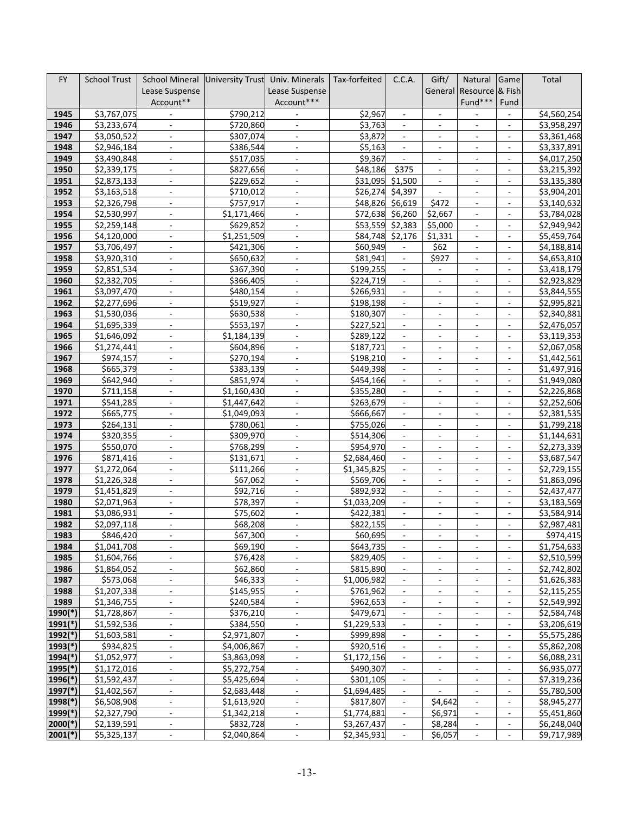| <b>FY</b>             | <b>School Trust</b>        | School Mineral University Trust            |                        | Univ. Minerals                   | Tax-forfeited          | C.C.A.                                          | Gift/                                                | Natural                                         | Game                                                 | Total                      |
|-----------------------|----------------------------|--------------------------------------------|------------------------|----------------------------------|------------------------|-------------------------------------------------|------------------------------------------------------|-------------------------------------------------|------------------------------------------------------|----------------------------|
|                       |                            | Lease Suspense                             |                        | Lease Suspense                   |                        |                                                 | General                                              | Resource & Fish                                 |                                                      |                            |
|                       |                            | Account**                                  |                        | Account***                       |                        |                                                 |                                                      | Fund***                                         | Fund                                                 |                            |
| 1945                  | \$3,767,075                | $\blacksquare$                             | \$790,212              |                                  | \$2,967                | $\overline{\phantom{a}}$                        | $\blacksquare$                                       |                                                 | $\overline{\phantom{a}}$                             | \$4,560,254                |
| 1946                  | \$3,233,674                | $\overline{\phantom{a}}$                   | \$720,860              | $\overline{\phantom{a}}$         | \$3,763                | $\overline{\phantom{a}}$                        | $\overline{\phantom{a}}$                             | $\overline{\phantom{a}}$                        | $\overline{\phantom{a}}$                             | \$3,958,297                |
| 1947                  | \$3,050,522                | $\blacksquare$                             | \$307,074              | $\overline{\phantom{a}}$         | \$3,872                |                                                 | $\overline{\phantom{a}}$                             | $\overline{\phantom{a}}$                        | $\frac{1}{2}$                                        | \$3,361,468                |
| 1948                  | \$2,946,184                | $\overline{\phantom{a}}$                   | \$386,544              | $\overline{\phantom{a}}$         | \$5,163                | $\overline{\phantom{a}}$                        | $\overline{\phantom{a}}$                             | $\overline{\phantom{a}}$                        | $\overline{\phantom{a}}$                             | \$3,337,891                |
| 1949                  | \$3,490,848                | $\overline{\phantom{a}}$                   | \$517,035              | $\blacksquare$                   | \$9,367                |                                                 | $\overline{\phantom{a}}$                             |                                                 |                                                      | \$4,017,250                |
| 1950                  | \$2,339,175                | $\blacksquare$                             | \$827,656              | $\omega$                         | \$48,186               | \$375                                           | $\omega$                                             | $\overline{\phantom{a}}$                        | ٠                                                    | \$3,215,392                |
| 1951                  | \$2,873,133                | $\overline{\phantom{a}}$                   | \$229,652              | $\blacksquare$                   | \$31,095               | \$1,500                                         | $\blacksquare$                                       | $\overline{\phantom{a}}$                        | $\overline{\phantom{a}}$                             | \$3,135,380                |
| 1952                  | \$3,163,518                | $\bar{a}$                                  | \$710,012              | $\overline{\phantom{a}}$         | \$26,274               | \$4,397                                         | $\sim$                                               | ÷,                                              | $\frac{1}{2}$                                        | \$3,904,201                |
| 1953                  | \$2,326,798                | $\overline{\phantom{a}}$                   | \$757,917              | $\blacksquare$                   | \$48,826               | \$6,619                                         | \$472                                                | $\overline{\phantom{a}}$                        | $\overline{\phantom{a}}$                             | \$3,140,632                |
| 1954                  | \$2,530,997                | $\blacksquare$                             | \$1,171,466            | $\overline{\phantom{a}}$         | \$72,638               | \$6,260                                         | \$2,667                                              | $\overline{\phantom{a}}$                        | $\frac{1}{2}$                                        | \$3,784,028                |
| 1955                  | \$2,259,148                | $\mathbf{r}$                               | \$629,852              | $\omega$                         | \$53,559               | \$2,383                                         | \$5,000                                              | $\blacksquare$                                  | $\overline{\phantom{a}}$                             | \$2,949,942                |
| 1956                  | \$4,120,000                | $\blacksquare$                             | \$1,251,509            | $\blacksquare$                   | \$84,748               | \$2,176                                         | \$1,331                                              | $\blacksquare$                                  | $\overline{\phantom{a}}$                             | \$5,459,764                |
| 1957                  | \$3,706,497                | $\sim$                                     | \$421,306              | $\blacksquare$                   | \$60,949               |                                                 | \$62                                                 | $\overline{\phantom{a}}$                        | $\bar{a}$                                            | \$4,188,814                |
| 1958                  | \$3,920,310                | $\blacksquare$                             | \$650,632              | $\blacksquare$                   | \$81,941               | $\blacksquare$                                  | \$927                                                | $\overline{\phantom{a}}$                        | $\overline{\phantom{a}}$                             | \$4,653,810                |
| 1959                  | \$2,851,534                | $\blacksquare$                             | \$367,390              | $\blacksquare$                   | \$199,255              | $\blacksquare$                                  |                                                      | $\overline{\phantom{a}}$                        | ÷,                                                   | \$3,418,179                |
| 1960                  | \$2,332,705                | $\mathbf{r}$                               | \$366,405              | $\omega$                         | \$224,719              | $\blacksquare$                                  | $\omega$                                             | $\overline{\phantom{a}}$                        | ٠                                                    | \$2,923,829                |
| 1961                  | \$3,097,470                | $\overline{\phantom{a}}$<br>$\sim$         | \$480,154              | $\blacksquare$                   | \$266,931              | $\overline{\phantom{a}}$<br>$\bar{\phantom{a}}$ | $\blacksquare$                                       | $\overline{\phantom{a}}$<br>$\bar{\phantom{a}}$ | $\overline{\phantom{a}}$                             | \$3,844,555                |
| 1962<br>1963          | \$2,277,696                |                                            | \$519,927              | $\blacksquare$                   | \$198,198<br>\$180,307 |                                                 | $\blacksquare$                                       |                                                 | $\bar{a}$                                            | \$2,995,821<br>\$2,340,881 |
| 1964                  | \$1,530,036<br>\$1,695,339 | $\overline{\phantom{a}}$<br>$\blacksquare$ | \$630,538<br>\$553,197 | $\blacksquare$<br>$\blacksquare$ | \$227,521              | $\blacksquare$<br>$\overline{\phantom{a}}$      | $\overline{\phantom{a}}$<br>$\overline{\phantom{a}}$ | $\overline{\phantom{a}}$                        | $\overline{\phantom{a}}$                             | \$2,476,057                |
| 1965                  | \$1,646,092                | $\mathbf{r}$                               | \$1,184,139            | $\blacksquare$                   | \$289,122              | $\blacksquare$                                  | $\blacksquare$                                       | $\blacksquare$                                  | $\overline{\phantom{a}}$                             | \$3,119,353                |
| 1966                  | $\overline{5}$ 1,274,441   | $\overline{\phantom{a}}$                   | \$604,896              | $\overline{\phantom{a}}$         | \$187,721              | $\overline{\phantom{a}}$                        | $\blacksquare$                                       | $\overline{\phantom{a}}$                        | $\overline{\phantom{a}}$                             | \$2,067,058                |
| 1967                  | \$974,157                  | $\sim$                                     | \$270,194              | $\blacksquare$                   | \$198,210              |                                                 | $\overline{\phantom{a}}$                             | $\overline{\phantom{a}}$                        | $\frac{1}{2}$                                        | \$1,442,561                |
| 1968                  | \$665,379                  | $\blacksquare$                             | \$383,139              | $\blacksquare$                   | \$449,398              | $\overline{\phantom{a}}$                        | $\overline{\phantom{a}}$                             | $\overline{\phantom{a}}$                        | $\overline{\phantom{a}}$                             | \$1,497,916                |
| 1969                  | \$642,940                  |                                            | \$851,974              |                                  | \$454,166              |                                                 | $\overline{\phantom{a}}$                             | $\overline{\phantom{0}}$                        |                                                      | \$1,949,080                |
| 1970                  | \$711,158                  | $\overline{\phantom{a}}$                   | \$1,160,430            | $\blacksquare$                   | \$355,280              | $\blacksquare$                                  | $\blacksquare$                                       | $\overline{\phantom{a}}$                        | ÷,                                                   | \$2,226,868                |
| 1971                  | \$541,285                  | $\overline{\phantom{a}}$                   | \$1,447,642            | $\overline{\phantom{a}}$         | \$263,679              | $\blacksquare$                                  | $\blacksquare$                                       | $\blacksquare$                                  | $\overline{\phantom{a}}$                             | \$2,252,606                |
| 1972                  | \$665,775                  | $\blacksquare$                             | \$1,049,093            | $\blacksquare$                   | \$666,667              |                                                 | $\overline{\phantom{a}}$                             | $\overline{\phantom{a}}$                        | $\blacksquare$                                       | \$2,381,535                |
| 1973                  | \$264,131                  | $\overline{\phantom{a}}$                   | \$780,061              | $\overline{\phantom{a}}$         | \$755,026              | $\overline{\phantom{a}}$                        | $\overline{\phantom{a}}$                             | $\overline{\phantom{a}}$                        | $\overline{\phantom{a}}$                             | \$1,799,218                |
| 1974                  | \$320,355                  |                                            | \$309,970              |                                  | \$514,306              |                                                 |                                                      |                                                 |                                                      | \$1,144,631                |
| 1975                  | \$550,070                  | $\sim$                                     | \$768,299              | $\blacksquare$                   | \$954,970              | $\blacksquare$                                  | $\blacksquare$                                       | $\overline{\phantom{a}}$                        | ÷,                                                   | \$2,273,339                |
| 1976                  | \$871,416                  | $\overline{\phantom{a}}$                   | \$131,671              | $\overline{\phantom{a}}$         | \$2,684,460            | $\overline{\phantom{a}}$                        | $\overline{\phantom{a}}$                             | $\overline{\phantom{a}}$                        | $\overline{\phantom{a}}$                             | \$3,687,547                |
| 1977                  | \$1,272,064                | $\overline{\phantom{a}}$                   | \$111,266              | $\Box$                           | \$1,345,825            |                                                 | $\overline{\phantom{a}}$                             | $\blacksquare$                                  | $\frac{1}{2}$                                        | \$2,729,155                |
| 1978                  | \$1,226,328                | $\overline{\phantom{a}}$                   | \$67,062               | $\overline{\phantom{a}}$         | \$569,706              | $\overline{\phantom{a}}$                        | $\overline{\phantom{a}}$                             | ٠                                               | $\overline{\phantom{a}}$                             | \$1,863,096                |
| 1979                  | \$1,451,829                |                                            | \$92,716               | $\blacksquare$                   | \$892,932              |                                                 | $\overline{\phantom{a}}$                             |                                                 |                                                      | \$2,437,477                |
| 1980                  | \$2,071,963                | $\blacksquare$                             | \$78,397               | $\omega$                         | \$1,033,209            | $\mathcal{L}_{\mathcal{A}}$                     | $\sim$                                               | $\overline{\phantom{a}}$                        | ٠                                                    | \$3,183,569                |
| 1981                  | \$3,086,931                | $\overline{\phantom{a}}$                   | \$75,602               | $\blacksquare$                   | \$422,381              | $\blacksquare$                                  | $\blacksquare$                                       | $\overline{\phantom{a}}$                        | $\frac{1}{2}$                                        | \$3,584,914                |
| 1982                  | \$2,097,118                | $\sim$                                     | \$68,208               | $\overline{\phantom{a}}$         | \$822,155              | $\overline{\phantom{a}}$                        | $\overline{\phantom{a}}$                             | $\blacksquare$                                  | $\overline{\phantom{a}}$                             | \$2,987,481                |
| 1983                  | \$846,420                  | $\overline{\phantom{a}}$                   | \$67,300               | $\sim$                           | \$60,695               |                                                 | $\overline{\phantom{a}}$                             | $\overline{\phantom{a}}$                        | $\sim$                                               | \$974,415                  |
| 1984                  | \$1,041,708                |                                            | \$69,190               |                                  | \$643,735              |                                                 |                                                      |                                                 |                                                      | \$1,754,633                |
| 1985<br>1986          | \$1,604,766                | $\overline{\phantom{a}}$                   | \$76,428               | $\blacksquare$                   | \$829,405<br>\$815,890 | $\blacksquare$                                  | $\overline{\phantom{a}}$                             | $\overline{\phantom{a}}$                        | ٠                                                    | \$2,510,599                |
| 1987                  | \$1,864,052<br>\$573,068   | $\overline{\phantom{a}}$<br>$\blacksquare$ | \$62,860<br>\$46,333   | $\blacksquare$<br>$\blacksquare$ | \$1,006,982            | $\blacksquare$<br>$\blacksquare$                | $\blacksquare$<br>$\overline{\phantom{a}}$           | $\blacksquare$<br>$\overline{\phantom{a}}$      | $\overline{\phantom{a}}$<br>$\overline{\phantom{a}}$ | \$2,742,802<br>\$1,626,383 |
| 1988                  | \$1,207,338                | $\overline{\phantom{a}}$                   | \$145,955              | $\overline{\phantom{a}}$         | \$761,962              | $\overline{\phantom{a}}$                        | $\overline{\phantom{a}}$                             | $\overline{\phantom{a}}$                        | $\overline{\phantom{a}}$                             | \$2,115,255                |
| 1989                  | \$1,346,755                | $\blacksquare$                             | \$240,584              | $\blacksquare$                   | \$962,653              |                                                 |                                                      |                                                 |                                                      | \$2,549,992                |
| 1990(*)               | \$1,728,867                | $\overline{\phantom{a}}$                   | \$376,210              | $\blacksquare$                   | \$479,671              | $\blacksquare$                                  | $\overline{\phantom{a}}$                             | $\overline{\phantom{a}}$                        | $\overline{\phantom{a}}$                             | \$2,584,748                |
| $1991$ <sup>(*)</sup> | \$1,592,536                | $\overline{\phantom{a}}$                   | \$384,550              | $\overline{\phantom{a}}$         | \$1,229,533            | $\overline{\phantom{a}}$                        | $\blacksquare$                                       | $\blacksquare$                                  | $\overline{\phantom{a}}$                             | \$3,206,619                |
| 1992(*)               | \$1,603,581                | $\Box$                                     | \$2,971,807            | $\overline{\phantom{a}}$         | \$999,898              | $\blacksquare$                                  | $\overline{\phantom{a}}$                             | $\overline{\phantom{a}}$                        | $\overline{\phantom{a}}$                             | \$5,575,286                |
| $1993$ <sup>(*)</sup> | \$934,825                  | $\overline{\phantom{a}}$                   | \$4,006,867            | $\overline{\phantom{a}}$         | \$920,516              | $\overline{\phantom{a}}$                        | $\overline{\phantom{a}}$                             | $\overline{\phantom{a}}$                        | $\overline{\phantom{a}}$                             | \$5,862,208                |
| 1994(*)               | \$1,052,977                | $\overline{\phantom{a}}$                   | \$3,863,098            | $\blacksquare$                   | \$1,172,156            |                                                 |                                                      |                                                 |                                                      | \$6,088,231                |
| $1995$ <sup>(*)</sup> | \$1,172,016                | $\overline{\phantom{a}}$                   | \$5,272,754            | $\blacksquare$                   | \$490,307              | $\overline{\phantom{a}}$                        | $\blacksquare$                                       | $\overline{\phantom{a}}$                        | $\overline{\phantom{a}}$                             | \$6,935,077                |
| 1996(*)               | \$1,592,437                | $\overline{\phantom{a}}$                   | \$5,425,694            | $\blacksquare$                   | \$301,105              | $\blacksquare$                                  | $\blacksquare$                                       | $\blacksquare$                                  | $\overline{\phantom{a}}$                             | \$7,319,236                |
| $1997$ <sup>(*)</sup> | \$1,402,567                | $\Box$                                     | \$2,683,448            | $\overline{\phantom{a}}$         | \$1,694,485            | ۰                                               |                                                      | $\qquad \qquad \blacksquare$                    | $\overline{\phantom{a}}$                             | \$5,780,500                |
| 1998(*)               | \$6,508,908                | $\overline{\phantom{a}}$                   | \$1,613,920            | $\blacksquare$                   | \$817,807              | $\overline{\phantom{a}}$                        | \$4,642                                              | $\overline{\phantom{a}}$                        | $\overline{\phantom{a}}$                             | \$8,945,277                |
| $1999(*)$             | \$2,327,790                | $\overline{\phantom{0}}$                   | \$1,342,218            | $\overline{\phantom{a}}$         | \$1,774,881            |                                                 | \$6,971                                              | $\frac{1}{2}$                                   |                                                      | \$5,451,860                |
| $2000(*)$             | \$2,139,591                | $\overline{\phantom{a}}$                   | \$832,728              | $\overline{\phantom{a}}$         | \$3,267,437            | $\overline{\phantom{a}}$                        | \$8,284                                              | ÷,                                              | $\overline{\phantom{a}}$                             | \$6,248,040                |
| $2001$ (*)            | \$5,325,137                | $\overline{\phantom{a}}$                   | \$2,040,864            | $\overline{\phantom{a}}$         | \$2,345,931            | $\blacksquare$                                  | \$6,057                                              | $\overline{\phantom{a}}$                        | $\overline{\phantom{a}}$                             | \$9,717,989                |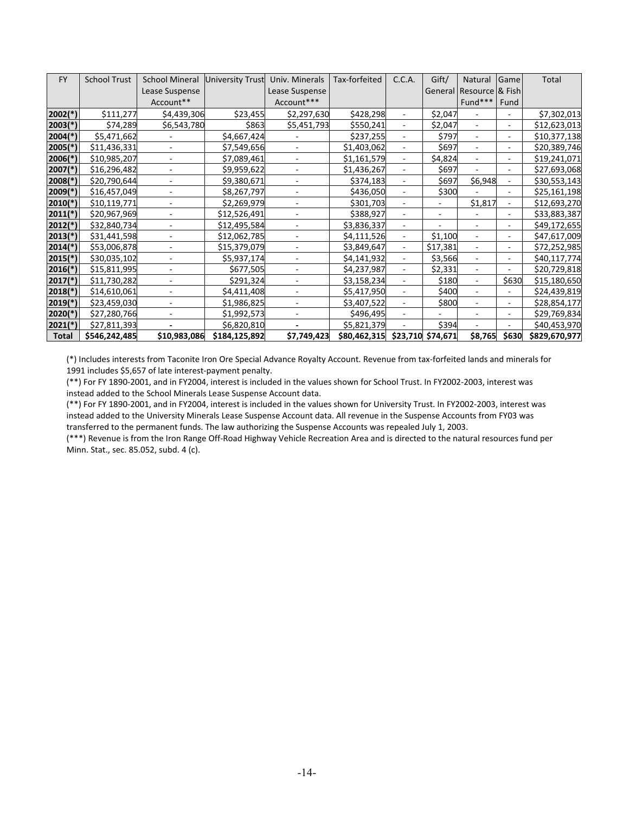| <b>FY</b>             | <b>School Trust</b> | <b>School Mineral</b> | University Trust | Univ. Minerals           | Tax-forfeited                  | C.C.A.                   | Gift/    | Natural                  | Game  | Total         |
|-----------------------|---------------------|-----------------------|------------------|--------------------------|--------------------------------|--------------------------|----------|--------------------------|-------|---------------|
|                       |                     | Lease Suspense        |                  | Lease Suspense           |                                |                          |          | General Resource & Fish  |       |               |
|                       |                     | Account**             |                  | Account***               |                                |                          |          | Fund***                  | Fund  |               |
| $2002(*)$             | \$111,277           | \$4,439,306           | \$23,455         | \$2,297,630              | \$428,298                      |                          | \$2,047  |                          |       | \$7,302,013   |
| $2003(*)$             | \$74,289            | \$6,543,780           | \$863            | \$5,451,793              | \$550,241                      |                          | \$2,047  | ٠                        |       | \$12,623,013  |
| $2004$ <sup>(*)</sup> | \$5,471,662         |                       | \$4,667,424      |                          | \$237,255                      |                          | \$797    | ٠                        | ٠     | \$10,377,138  |
| $2005$ (*)            | \$11,436,331        |                       | \$7,549,656      |                          | \$1,403,062                    |                          | \$697    |                          |       | \$20,389,746  |
| $2006(*)$             | \$10,985,207        |                       | \$7,089,461      |                          | \$1,161,579                    |                          | \$4,824  |                          |       | \$19,241,071  |
| $2007$ (*)            | \$16,296,482        |                       | \$9,959,622      |                          | \$1,436,267                    |                          | \$697    |                          |       | \$27,693,068  |
| $2008$ <sup>(*)</sup> | \$20,790,644        |                       | \$9,380,671      |                          | \$374,183                      | ٠                        | \$697    | \$6,948                  |       | \$30,553,143  |
| $2009(*)$             | \$16,457,049        |                       | \$8,267,797      |                          | \$436,050                      | ٠                        | \$300    |                          | -     | \$25,161,198  |
| $2010(*)$             | \$10,119,771        |                       | \$2,269,979      | $\blacksquare$           | \$301,703                      | ٠                        |          | \$1,817                  |       | \$12,693,270  |
| $2011(*)$             | \$20,967,969        |                       | \$12,526,491     |                          | \$388,927                      | $\overline{\phantom{a}}$ | ٠        |                          |       | \$33,883,387  |
| $2012(*)$             | \$32,840,734        |                       | \$12,495,584     | $\overline{\phantom{0}}$ | \$3,836,337                    | $\overline{\phantom{a}}$ |          | ٠                        | ۰     | \$49,172,655  |
| $2013(*)$             | \$31,441,598        |                       | \$12,062,785     |                          | \$4,111,526                    | $\overline{\phantom{a}}$ | \$1,100  | $\blacksquare$           | ٠     | \$47,617,009  |
| $2014(*)$             | \$53,006,878        |                       | \$15,379,079     |                          | \$3,849,647                    | $\overline{\phantom{a}}$ | \$17,381 | $\blacksquare$           | ٠     | \$72,252,985  |
| $2015(*)$             | \$30,035,102        |                       | \$5,937,174      |                          | \$4,141,932                    |                          | \$3,566  | ÷,                       | ۰     | \$40,117,774  |
| $2016(*)$             | \$15,811,995        |                       | \$677,505        |                          | \$4,237,987                    |                          | \$2,331  | ٠                        |       | \$20,729,818  |
| $2017$ (*)            | \$11,730,282        |                       | \$291,324        |                          | \$3,158,234                    |                          | \$180    | $\overline{\phantom{0}}$ | \$630 | \$15,180,650  |
| $2018(*)$             | \$14,610,061        |                       | \$4,411,408      |                          | \$5,417,950                    |                          | \$400    | ۰                        |       | \$24,439,819  |
| $2019(*)$             | \$23,459,030        |                       | \$1,986,825      |                          | \$3,407,522                    |                          | \$800    |                          |       | \$28,854,177  |
| $2020(*)$             | \$27,280,766        |                       | \$1,992,573      |                          | \$496,495                      |                          |          |                          |       | \$29,769,834  |
| $2021(*)$             | \$27,811,393        |                       | \$6,820,810      |                          | \$5,821,379                    |                          | \$394    |                          |       | \$40,453,970  |
| <b>Total</b>          | \$546,242,485       | \$10,983,086          | \$184,125,892    | \$7,749,423              | \$80,462,315 \$23,710 \$74,671 |                          |          | \$8,765                  | \$630 | \$829,670,977 |

(\*) Includes interests from Taconite Iron Ore Special Advance Royalty Account. Revenue from tax-forfeited lands and minerals for 1991 includes \$5,657 of late interest-payment penalty.

(\*\*) For FY 1890-2001, and in FY2004, interest is included in the values shown for School Trust. In FY2002-2003, interest was instead added to the School Minerals Lease Suspense Account data.

(\*\*) For FY 1890-2001, and in FY2004, interest is included in the values shown for University Trust. In FY2002-2003, interest was instead added to the University Minerals Lease Suspense Account data. All revenue in the Suspense Accounts from FY03 was transferred to the permanent funds. The law authorizing the Suspense Accounts was repealed July 1, 2003.

(\*\*\*) Revenue is from the Iron Range Off-Road Highway Vehicle Recreation Area and is directed to the natural resources fund per Minn. Stat., sec. 85.052, subd. 4 (c).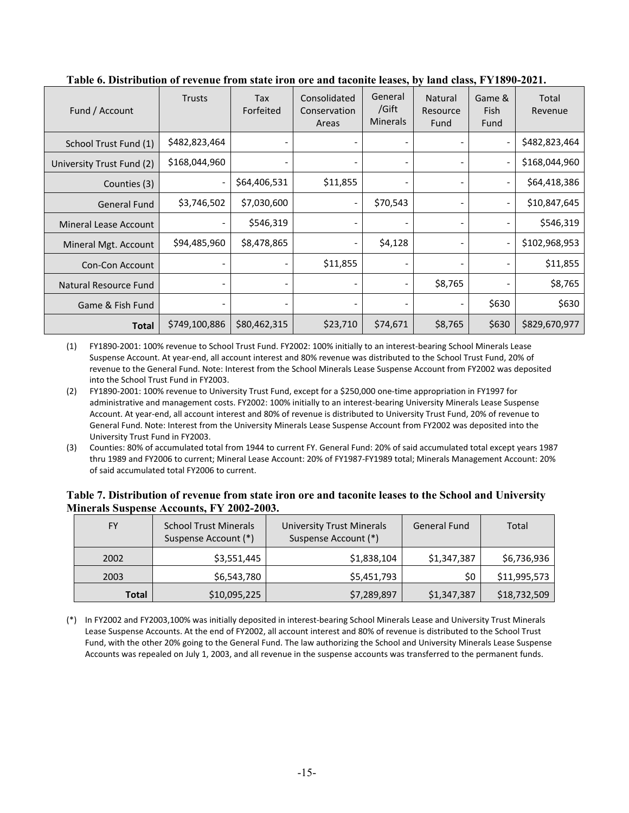| Fund / Account               | <b>Trusts</b> | Tax<br>Forfeited | Consolidated<br>Conservation<br>Areas | General<br>/Gift<br><b>Minerals</b> | Natural<br>Resource<br>Fund | Game &<br><b>Fish</b><br>Fund | Total<br>Revenue |
|------------------------------|---------------|------------------|---------------------------------------|-------------------------------------|-----------------------------|-------------------------------|------------------|
| School Trust Fund (1)        | \$482,823,464 |                  |                                       |                                     |                             |                               | \$482,823,464    |
| University Trust Fund (2)    | \$168,044,960 |                  |                                       | $\qquad \qquad \blacksquare$        |                             | -                             | \$168,044,960    |
| Counties (3)                 |               | \$64,406,531     | \$11,855                              |                                     |                             | $\overline{\phantom{0}}$      | \$64,418,386     |
| <b>General Fund</b>          | \$3,746,502   | \$7,030,600      |                                       | \$70,543                            |                             | $\overline{\phantom{0}}$      | \$10,847,645     |
| <b>Mineral Lease Account</b> |               | \$546,319        |                                       |                                     |                             | $\qquad \qquad \blacksquare$  | \$546,319        |
| Mineral Mgt. Account         | \$94,485,960  | \$8,478,865      |                                       | \$4,128                             |                             | $\overline{\phantom{0}}$      | \$102,968,953    |
| Con-Con Account              |               |                  | \$11,855                              | $\overline{\phantom{a}}$            |                             | $\qquad \qquad \blacksquare$  | \$11,855         |
| Natural Resource Fund        |               |                  |                                       | $\qquad \qquad \blacksquare$        | \$8,765                     | $\overline{\phantom{0}}$      | \$8,765          |
| Game & Fish Fund             |               |                  |                                       |                                     |                             | \$630                         | \$630            |
| <b>Total</b>                 | \$749,100,886 | \$80,462,315     | \$23,710                              | \$74,671                            | \$8,765                     | \$630                         | \$829,670,977    |

<span id="page-15-0"></span>**Table 6. Distribution of revenue from state iron ore and taconite leases, by land class, FY1890-2021.** 

(1) FY1890-2001: 100% revenue to School Trust Fund. FY2002: 100% initially to an interest-bearing School Minerals Lease Suspense Account. At year-end, all account interest and 80% revenue was distributed to the School Trust Fund, 20% of revenue to the General Fund. Note: Interest from the School Minerals Lease Suspense Account from FY2002 was deposited into the School Trust Fund in FY2003.

- (2) FY1890-2001: 100% revenue to University Trust Fund, except for a \$250,000 one-time appropriation in FY1997 for administrative and management costs. FY2002: 100% initially to an interest-bearing University Minerals Lease Suspense Account. At year-end, all account interest and 80% of revenue is distributed to University Trust Fund, 20% of revenue to General Fund. Note: Interest from the University Minerals Lease Suspense Account from FY2002 was deposited into the University Trust Fund in FY2003.
- (3) Counties: 80% of accumulated total from 1944 to current FY. General Fund: 20% of said accumulated total except years 1987 thru 1989 and FY2006 to current; Mineral Lease Account: 20% of FY1987-FY1989 total; Minerals Management Account: 20% of said accumulated total FY2006 to current.

#### <span id="page-15-1"></span>**Table 7. Distribution of revenue from state iron ore and taconite leases to the School and University Minerals Suspense Accounts, FY 2002-2003.**

| FY           | <b>School Trust Minerals</b><br>Suspense Account (*) | University Trust Minerals<br>Suspense Account (*) |             | Total        |
|--------------|------------------------------------------------------|---------------------------------------------------|-------------|--------------|
| 2002         | \$3,551,445                                          | \$1,838,104                                       | \$1,347,387 | \$6,736,936  |
| 2003         | \$6,543,780                                          | \$5,451,793                                       | \$0         | \$11,995,573 |
| <b>Total</b> | \$10,095,225                                         | \$7,289,897                                       | \$1,347,387 | \$18,732,509 |

(\*) In FY2002 and FY2003,100% was initially deposited in interest-bearing School Minerals Lease and University Trust Minerals Lease Suspense Accounts. At the end of FY2002, all account interest and 80% of revenue is distributed to the School Trust Fund, with the other 20% going to the General Fund. The law authorizing the School and University Minerals Lease Suspense Accounts was repealed on July 1, 2003, and all revenue in the suspense accounts was transferred to the permanent funds.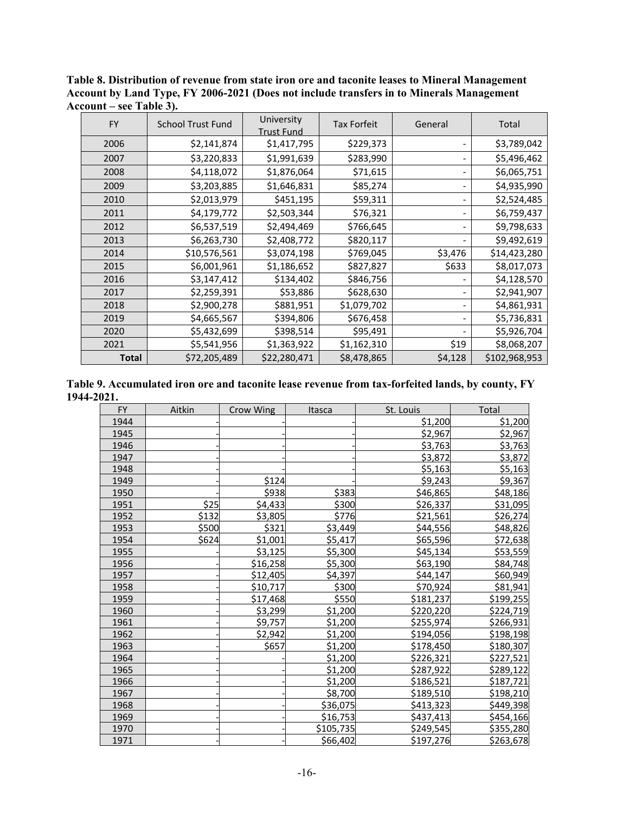| FY           | University<br><b>School Trust Fund</b> |                   | <b>Tax Forfeit</b> | General | Total         |
|--------------|----------------------------------------|-------------------|--------------------|---------|---------------|
|              |                                        | <b>Trust Fund</b> |                    |         |               |
| 2006         | \$2,141,874                            | \$1,417,795       | \$229,373          |         | \$3,789,042   |
| 2007         | \$3,220,833                            | \$1,991,639       | \$283,990          |         | \$5,496,462   |
| 2008         | \$4,118,072                            | \$1,876,064       | \$71,615           |         | \$6,065,751   |
| 2009         | \$3,203,885                            | \$1,646,831       | \$85,274           |         | \$4,935,990   |
| 2010         | \$2,013,979                            | \$451,195         | \$59,311           |         | \$2,524,485   |
| 2011         | \$4,179,772                            | \$2,503,344       | \$76,321           |         | \$6,759,437   |
| 2012         | \$6,537,519                            | \$2,494,469       | \$766,645          |         | \$9,798,633   |
| 2013         | \$6,263,730                            | \$2,408,772       | \$820,117          |         | \$9,492,619   |
| 2014         | \$10,576,561                           | \$3,074,198       | \$769,045          | \$3,476 | \$14,423,280  |
| 2015         | \$6,001,961                            | \$1,186,652       | \$827,827          | \$633   | \$8,017,073   |
| 2016         | \$3,147,412                            | \$134,402         | \$846,756          |         | \$4,128,570   |
| 2017         | \$2,259,391                            | \$53,886          | \$628,630          |         | \$2,941,907   |
| 2018         | \$2,900,278                            | \$881,951         | \$1,079,702        |         | \$4,861,931   |
| 2019         | \$4,665,567                            | \$394,806         | \$676,458          |         | \$5,736,831   |
| 2020         | \$5,432,699                            | \$398,514         | \$95,491           |         | \$5,926,704   |
| 2021         | \$5,541,956                            | \$1,363,922       | \$1,162,310        | \$19    | \$8,068,207   |
| <b>Total</b> | \$72,205,489                           | \$22,280,471      | \$8,478,865        | \$4,128 | \$102,968,953 |

<span id="page-16-0"></span>**Table 8. Distribution of revenue from state iron ore and taconite leases to Mineral Management Account by Land Type, FY 2006-2021 (Does not include transfers in to Minerals Management Account – see Table 3).**

<span id="page-16-1"></span>

| Table 9. Accumulated iron ore and taconite lease revenue from tax-forfeited lands, by county, FY |  |
|--------------------------------------------------------------------------------------------------|--|
| 1944-2021.                                                                                       |  |

| <b>FY</b> | Aitkin | Crow Wing | Itasca    | St. Louis | Total     |
|-----------|--------|-----------|-----------|-----------|-----------|
| 1944      |        |           |           | \$1,200   | \$1,200   |
| 1945      |        |           |           | \$2,967   | \$2,967   |
| 1946      |        |           |           | \$3,763   | \$3,763   |
| 1947      |        |           |           | \$3,872   | \$3,872   |
| 1948      |        |           |           | \$5,163   | \$5,163   |
| 1949      |        | \$124     |           | \$9,243   | \$9,367   |
| 1950      |        | \$938     | \$383     | \$46,865  | \$48,186  |
| 1951      | \$25   | \$4,433   | \$300     | \$26,337  | \$31,095  |
| 1952      | \$132  | \$3,805   | \$776     | \$21,561  | \$26,274  |
| 1953      | \$500  | \$321     | \$3,449   | \$44,556  | \$48,826  |
| 1954      | \$624  | \$1,001   | \$5,417   | \$65,596  | \$72,638  |
| 1955      |        | \$3,125   | \$5,300   | \$45,134  | \$53,559  |
| 1956      |        | \$16,258  | \$5,300   | \$63,190  | \$84,748  |
| 1957      |        | \$12,405  | \$4,397   | \$44,147  | \$60,949  |
| 1958      |        | \$10,717  | \$300     | \$70,924  | \$81,941  |
| 1959      |        | \$17,468  | \$550     | \$181,237 | \$199,255 |
| 1960      |        | \$3,299   | \$1,200   | \$220,220 | \$224,719 |
| 1961      |        | \$9,757   | \$1,200   | \$255,974 | \$266,931 |
| 1962      |        | \$2,942   | \$1,200   | \$194,056 | \$198,198 |
| 1963      |        | \$657     | \$1,200   | \$178,450 | \$180,307 |
| 1964      |        |           | \$1,200   | \$226,321 | \$227,521 |
| 1965      |        |           | \$1,200   | \$287,922 | \$289,122 |
| 1966      |        |           | \$1,200   | \$186,521 | \$187,721 |
| 1967      |        |           | \$8,700   | \$189,510 | \$198,210 |
| 1968      |        |           | \$36,075  | \$413,323 | \$449,398 |
| 1969      |        |           | \$16,753  | \$437,413 | \$454,166 |
| 1970      |        |           | \$105,735 | \$249,545 | \$355,280 |
| 1971      |        |           | \$66,402  | \$197,276 | \$263,678 |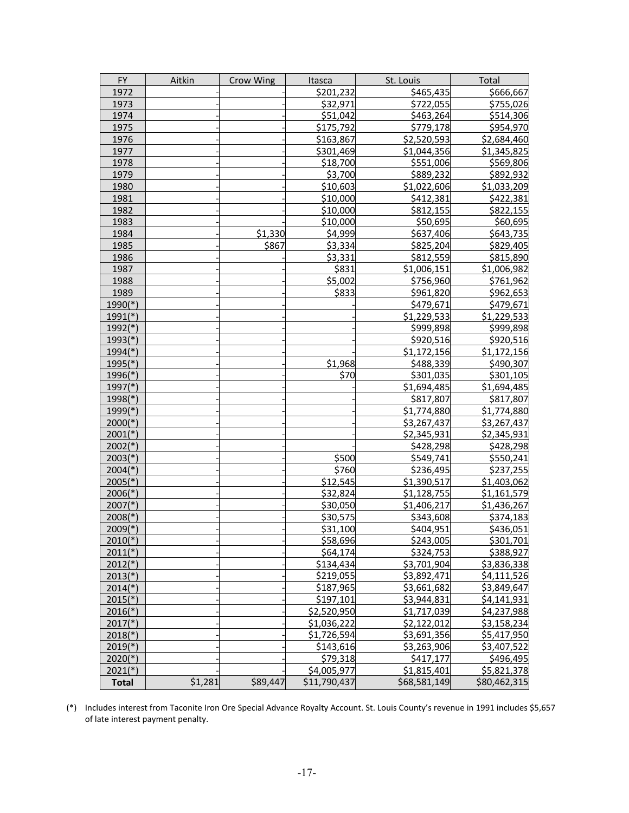| <b>FY</b>             | Aitkin  | Crow Wing | Itasca               | St. Louis    | Total        |
|-----------------------|---------|-----------|----------------------|--------------|--------------|
| 1972                  |         |           | \$201,232            | \$465,435    | \$666,667    |
| 1973                  |         |           | \$32,971             | \$722,055    | \$755,026    |
| 1974                  |         |           | \$51,042             | \$463,264    | \$514,306    |
| 1975                  |         |           | \$175,792            | \$779,178    | \$954,970    |
| 1976                  |         |           | \$163,867            | \$2,520,593  | \$2,684,460  |
| 1977                  |         |           | \$301,469            | \$1,044,356  | \$1,345,825  |
| 1978                  |         |           | $\overline{518,700}$ | \$551,006    | \$569,806    |
| 1979                  |         |           | \$3,700              | \$889,232    | \$892,932    |
| 1980                  |         |           | \$10,603             | \$1,022,606  | \$1,033,209  |
| 1981                  |         |           | \$10,000             | \$412,381    | \$422,381    |
| 1982                  |         |           | \$10,000             | \$812,155    | \$822,155    |
| 1983                  |         |           | \$10,000             | \$50,695     | \$60,695     |
| 1984                  |         | \$1,330   | \$4,999              | \$637,406    | \$643,735    |
| 1985                  |         | \$867     | \$3,334              | \$825,204    | \$829,405    |
| 1986                  |         |           | \$3,331              | \$812,559    | \$815,890    |
| 1987                  |         |           | \$831                | \$1,006,151  | \$1,006,982  |
| 1988                  |         |           | \$5,002              | \$756,960    | \$761,962    |
| 1989                  |         |           | \$833                | \$961,820    | \$962,653    |
| $1990(*)$             |         |           |                      | \$479,671    | \$479,671    |
| $1991(*)$             |         |           |                      | \$1,229,533  | \$1,229,533  |
| $1992$ <sup>(*)</sup> |         |           |                      | \$999,898    | \$999,898    |
| $1993(*)$             |         |           |                      | \$920,516    | \$920,516    |
| $1994$ <sup>(*)</sup> |         |           |                      | \$1,172,156  | \$1,172,156  |
| $1995(*)$             |         |           | \$1,968              | \$488,339    | \$490,307    |
| $1996(*)$             |         |           | \$70                 | \$301,035    | \$301,105    |
| $1997$ <sup>(*)</sup> |         |           |                      | \$1,694,485  | \$1,694,485  |
| $1998$ <sup>(*)</sup> |         |           |                      | \$817,807    | \$817,807    |
| $1999(*)$             |         |           |                      | \$1,774,880  | \$1,774,880  |
| $2000(*)$             |         |           |                      | \$3,267,437  | \$3,267,437  |
| $2001(*)$             |         |           |                      | \$2,345,931  | \$2,345,931  |
| $2002(*)$             |         |           |                      | \$428,298    | \$428,298    |
| $2003(*)$             |         |           | \$500                | \$549,741    | \$550,241    |
| $2004$ <sup>(*)</sup> |         |           | \$760                | \$236,495    | \$237,255    |
| $2005(*)$             |         |           | \$12,545             | \$1,390,517  | \$1,403,062  |
| $2006(*)$             |         |           | \$32,824             | \$1,128,755  | \$1,161,579  |
| $2007$ (*)            |         |           | \$30,050             | \$1,406,217  | \$1,436,267  |
| $2008(*)$             |         |           | \$30,575             | \$343,608    | \$374,183    |
| $2009(*)$             |         |           | \$31,100             | \$404,951    | \$436,051    |
| $2010(*)$             |         |           | \$58,696             | \$243,005    | \$301,701    |
| $2011(*)$             |         |           | \$64,174             | \$324,753    | \$388,927    |
| $2012(*)$             |         |           | \$134,434            | \$3,701,904  | \$3,836,338  |
| $2013(*)$             |         |           | \$219,055            | \$3,892,471  | \$4,111,526  |
| $2014(*)$             |         |           | \$187,965            | \$3,661,682  | \$3,849,647  |
| $2015(*)$             |         |           | \$197,101            | \$3,944,831  | \$4,141,931  |
| $2016(*)$             |         |           | \$2,520,950          | \$1,717,039  | \$4,237,988  |
| $2017$ <sup>*</sup> ) |         |           | \$1,036,222          | \$2,122,012  | \$3,158,234  |
| $2018(*)$             |         |           | \$1,726,594          | \$3,691,356  | \$5,417,950  |
| $2019(*)$             |         |           | \$143,616            | \$3,263,906  | \$3,407,522  |
| $2020(*)$             |         |           | \$79,318             | \$417,177    | \$496,495    |
| $2021(*)$             |         |           | \$4,005,977          | \$1,815,401  | \$5,821,378  |
| <b>Total</b>          | \$1,281 | \$89,447  | \$11,790,437         | \$68,581,149 | \$80,462,315 |

(\*) Includes interest from Taconite Iron Ore Special Advance Royalty Account. St. Louis County's revenue in 1991 includes \$5,657 of late interest payment penalty.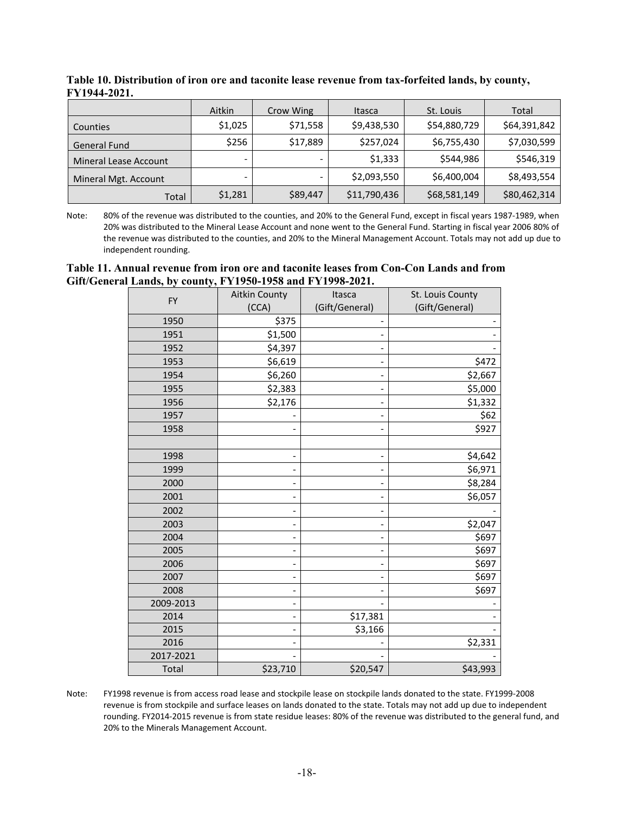|                              | Aitkin  | Crow Wing | Itasca       | St. Louis    | Total        |
|------------------------------|---------|-----------|--------------|--------------|--------------|
| Counties                     | \$1,025 | \$71,558  | \$9,438,530  | \$54,880,729 | \$64,391,842 |
| <b>General Fund</b>          | \$256   | \$17,889  | \$257,024    | \$6,755,430  | \$7,030,599  |
| <b>Mineral Lease Account</b> |         |           | \$1,333      | \$544,986    | \$546,319    |
| Mineral Mgt. Account         |         |           | \$2,093,550  | \$6,400,004  | \$8,493,554  |
| Total                        | \$1,281 | \$89,447  | \$11,790,436 | \$68,581,149 | \$80,462,314 |

<span id="page-18-0"></span>**Table 10. Distribution of iron ore and taconite lease revenue from tax-forfeited lands, by county, FY1944-2021.** 

Note: 80% of the revenue was distributed to the counties, and 20% to the General Fund, except in fiscal years 1987-1989, when 20% was distributed to the Mineral Lease Account and none went to the General Fund. Starting in fiscal year 2006 80% of the revenue was distributed to the counties, and 20% to the Mineral Management Account. Totals may not add up due to independent rounding.

#### <span id="page-18-1"></span>**Table 11. Annual revenue from iron ore and taconite leases from Con-Con Lands and from Gift/General Lands, by county, FY1950-1958 and FY1998-2021.**

| <b>FY</b> | <b>Aitkin County</b>         | Itasca                   | St. Louis County |
|-----------|------------------------------|--------------------------|------------------|
|           | (CCA)                        | (Gift/General)           | (Gift/General)   |
| 1950      | \$375                        |                          |                  |
| 1951      | \$1,500                      |                          |                  |
| 1952      | \$4,397                      |                          |                  |
| 1953      | \$6,619                      |                          | \$472            |
| 1954      | \$6,260                      |                          | \$2,667          |
| 1955      | \$2,383                      |                          | \$5,000          |
| 1956      | \$2,176                      | -                        | \$1,332          |
| 1957      |                              |                          | \$62             |
| 1958      |                              | $\overline{\phantom{0}}$ | \$927            |
|           |                              |                          |                  |
| 1998      |                              | $\overline{\phantom{0}}$ | \$4,642          |
| 1999      |                              |                          | \$6,971          |
| 2000      |                              |                          | \$8,284          |
| 2001      | $\overline{\phantom{0}}$     | -                        | \$6,057          |
| 2002      |                              |                          |                  |
| 2003      |                              |                          | \$2,047          |
| 2004      |                              |                          | \$697            |
| 2005      |                              |                          | \$697            |
| 2006      | $\qquad \qquad \blacksquare$ | -                        | \$697            |
| 2007      |                              |                          | \$697            |
| 2008      | $\overline{\phantom{0}}$     |                          | \$697            |
| 2009-2013 |                              |                          |                  |
| 2014      | $\qquad \qquad \blacksquare$ | \$17,381                 |                  |
| 2015      | $\overline{\phantom{0}}$     | \$3,166                  |                  |
| 2016      |                              |                          | \$2,331          |
| 2017-2021 |                              |                          |                  |
| Total     | \$23,710                     | \$20,547                 | \$43,993         |

Note: FY1998 revenue is from access road lease and stockpile lease on stockpile lands donated to the state. FY1999-2008 revenue is from stockpile and surface leases on lands donated to the state. Totals may not add up due to independent rounding. FY2014-2015 revenue is from state residue leases: 80% of the revenue was distributed to the general fund, and 20% to the Minerals Management Account.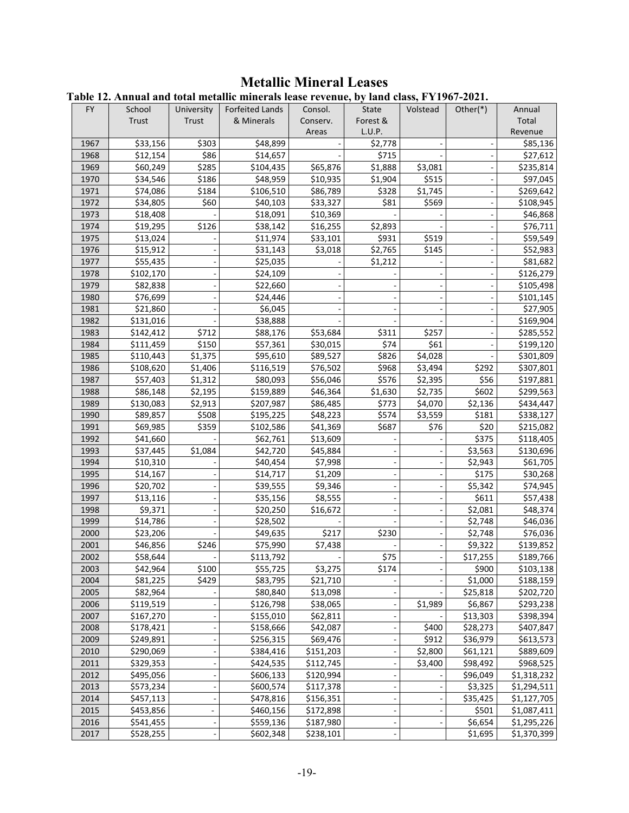# **Metallic Mineral Leases**

<span id="page-19-1"></span><span id="page-19-0"></span>

|  |  |  | Table 12. Annual and total metallic minerals lease revenue, by land class, FY1967-2021. |  |  |  |
|--|--|--|-----------------------------------------------------------------------------------------|--|--|--|
|--|--|--|-----------------------------------------------------------------------------------------|--|--|--|

|      |                      |                                            | o Amnuur unu totui metume mineruis ieuse refenuețio fiunu enissții 1997 |           |          |          |             |             |
|------|----------------------|--------------------------------------------|-------------------------------------------------------------------------|-----------|----------|----------|-------------|-------------|
| FY.  | School               | University                                 | Forfeited Lands                                                         | Consol.   | State    | Volstead | Other $(*)$ | Annual      |
|      | Trust                | Trust                                      | & Minerals                                                              | Conserv.  | Forest & |          |             | Total       |
|      |                      |                                            |                                                                         | Areas     | L.U.P.   |          |             | Revenue     |
| 1967 | \$33,156             | \$303                                      | \$48,899                                                                |           | \$2,778  |          |             | \$85,136    |
| 1968 | \$12,154             | \$86                                       | \$14,657                                                                |           | \$715    |          |             | \$27,612    |
| 1969 | \$60,249             | \$285                                      | \$104,435                                                               | \$65,876  | \$1,888  | \$3,081  |             | \$235,814   |
| 1970 | \$34,546             | \$186                                      | \$48,959                                                                | \$10,935  | \$1,904  | \$515    |             | \$97,045    |
| 1971 | \$74,086             | \$184                                      | \$106,510                                                               | \$86,789  | \$328    | \$1,745  |             | \$269,642   |
| 1972 | \$34,805             | \$60                                       | \$40,103                                                                | \$33,327  | \$81     | \$569    |             | \$108,945   |
| 1973 | \$18,408             |                                            | \$18,091                                                                | \$10,369  |          |          |             | \$46,868    |
| 1974 | \$19,295             | \$126                                      | \$38,142                                                                | \$16,255  | \$2,893  |          |             | \$76,711    |
| 1975 | \$13,024             |                                            | \$11,974                                                                | \$33,101  | \$931    | \$519    |             | \$59,549    |
| 1976 | \$15,912             |                                            | \$31,143                                                                | \$3,018   | \$2,765  | \$145    |             | \$52,983    |
| 1977 | \$55,435             |                                            | \$25,035                                                                |           | \$1,212  |          |             | \$81,682    |
| 1978 | \$102,170            |                                            | \$24,109                                                                |           |          |          |             | \$126,279   |
| 1979 | \$82,838             |                                            | \$22,660                                                                |           |          |          |             | \$105,498   |
| 1980 | \$76,699             |                                            | \$24,446                                                                |           |          |          |             | \$101,145   |
| 1981 | \$21,860             |                                            | \$6,045                                                                 |           |          |          |             | \$27,905    |
| 1982 | \$131,016            |                                            | \$38,888                                                                |           |          |          |             | \$169,904   |
| 1983 | \$142,412            | \$712                                      | \$88,176                                                                | \$53,684  | \$311    | \$257    |             | \$285,552   |
| 1984 | \$111,459            | \$150                                      | \$57,361                                                                | \$30,015  | \$74     | \$61     |             | \$199,120   |
| 1985 | \$110,443            | \$1,375                                    | \$95,610                                                                | \$89,527  | \$826    | \$4,028  |             | \$301,809   |
| 1986 | \$108,620            | \$1,406                                    | \$116,519                                                               | \$76,502  | \$968    | \$3,494  | \$292       | \$307,801   |
| 1987 | \$57,403             | \$1,312                                    | \$80,093                                                                | \$56,046  | \$576    | \$2,395  | \$56        | \$197,881   |
| 1988 | \$86,148             | \$2,195                                    | \$159,889                                                               | \$46,364  | \$1,630  | \$2,735  | \$602       | \$299,563   |
| 1989 | \$130,083            | \$2,913                                    | \$207,987                                                               | \$86,485  | \$773    | \$4,070  | \$2,136     | \$434,447   |
| 1990 | \$89,857             | \$508                                      | \$195,225                                                               | \$48,223  | \$574    | \$3,559  | \$181       | \$338,127   |
| 1991 | \$69,985             | \$359                                      | \$102,586                                                               | \$41,369  | \$687    | \$76     | \$20        | \$215,082   |
| 1992 | \$41,660             |                                            | \$62,761                                                                | \$13,609  |          |          | \$375       | \$118,405   |
| 1993 | \$37,445             | \$1,084                                    | \$42,720                                                                | \$45,884  |          |          | \$3,563     | \$130,696   |
| 1994 | $\overline{$}10,310$ |                                            | \$40,454                                                                | \$7,998   |          |          | \$2,943     | \$61,705    |
| 1995 | \$14,167             |                                            | \$14,717                                                                | \$1,209   |          |          | \$175       | \$30,268    |
| 1996 | \$20,702             |                                            | \$39,555                                                                | \$9,346   |          |          | \$5,342     | \$74,945    |
| 1997 | \$13,116             |                                            | \$35,156                                                                | \$8,555   |          |          | \$611       | \$57,438    |
| 1998 | \$9,371              |                                            | \$20,250                                                                | \$16,672  |          |          | \$2,081     | \$48,374    |
| 1999 | \$14,786             |                                            | \$28,502                                                                |           |          |          | \$2,748     | \$46,036    |
| 2000 | \$23,206             |                                            | \$49,635                                                                | \$217     | \$230    |          | \$2,748     | \$76,036    |
| 2001 | \$46,856             | \$246                                      | \$75,990                                                                | \$7,438   |          |          | \$9,322     | \$139,852   |
| 2002 | \$58,644             |                                            | \$113,792                                                               |           | \$75     |          | \$17,255    | \$189,766   |
| 2003 | \$42,964             | \$100                                      | \$55,725                                                                | \$3,275   | \$174    |          | \$900       | \$103,138   |
| 2004 | \$81,225             | \$429                                      | \$83,795                                                                | \$21,710  |          |          | \$1,000     | \$188,159   |
| 2005 | \$82,964             |                                            | \$80,840                                                                | \$13,098  |          |          | \$25,818    | \$202,720   |
| 2006 | \$119,519            |                                            | \$126,798                                                               | \$38,065  |          | \$1,989  | \$6,867     | \$293,238   |
| 2007 | \$167,270            |                                            | \$155,010                                                               | \$62,811  |          |          | \$13,303    | \$398,394   |
| 2008 | \$178,421            |                                            | \$158,666                                                               | \$42,087  |          | \$400    | \$28,273    | \$407,847   |
| 2009 | \$249,891            |                                            | \$256,315                                                               | \$69,476  |          | \$912    | \$36,979    | \$613,573   |
| 2010 | \$290,069            | $\qquad \qquad \blacksquare$               | \$384,416                                                               | \$151,203 |          | \$2,800  | \$61,121    | \$889,609   |
| 2011 | \$329,353            | $\Box$                                     | \$424,535                                                               | \$112,745 |          | \$3,400  | \$98,492    | \$968,525   |
| 2012 | \$495,056            | $\overline{\phantom{a}}$                   | \$606,133                                                               | \$120,994 |          |          | \$96,049    | \$1,318,232 |
| 2013 | \$573,234            |                                            | \$600,574                                                               | \$117,378 |          |          | \$3,325     | \$1,294,511 |
| 2014 | \$457,113            | $\blacksquare$<br>$\overline{\phantom{a}}$ | \$478,816                                                               | \$156,351 |          |          | \$35,425    | \$1,127,705 |
| 2015 | \$453,856            | $\overline{\phantom{0}}$                   | \$460,156                                                               | \$172,898 |          |          | \$501       | \$1,087,411 |
| 2016 | \$541,455            |                                            | \$559,136                                                               | \$187,980 |          |          | \$6,654     | \$1,295,226 |
| 2017 | \$528,255            |                                            | \$602,348                                                               | \$238,101 |          |          | \$1,695     | \$1,370,399 |
|      |                      |                                            |                                                                         |           |          |          |             |             |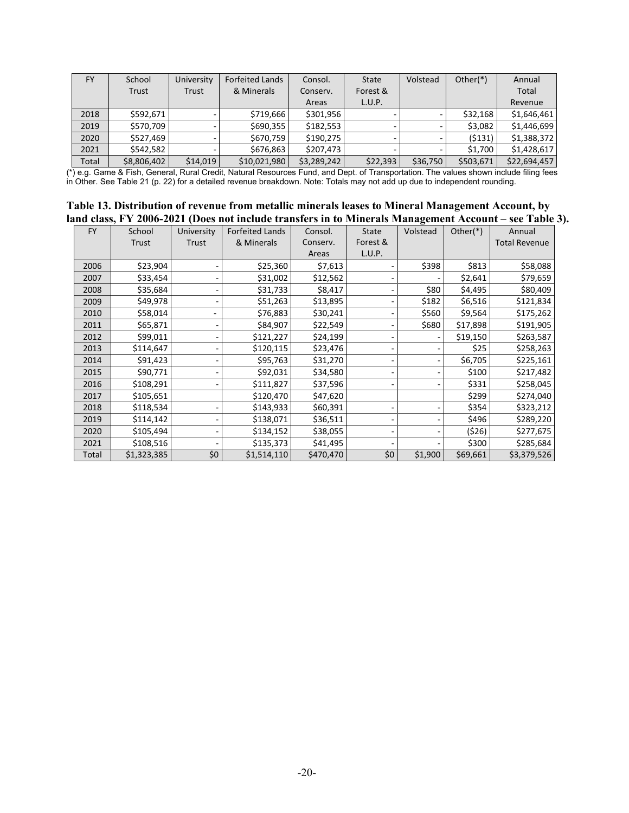| <b>FY</b> | School      | University | <b>Forfeited Lands</b> | Consol.     | <b>State</b> | Volstead | Other $(*)$ | Annual       |
|-----------|-------------|------------|------------------------|-------------|--------------|----------|-------------|--------------|
|           | Trust       | Trust      | & Minerals             | Conserv.    | Forest &     |          |             | <b>Total</b> |
|           |             |            |                        | Areas       | L.U.P.       |          |             | Revenue      |
| 2018      | \$592,671   |            | \$719.666              | \$301.956   |              |          | \$32.168    | \$1,646,461  |
| 2019      | \$570,709   |            | \$690.355              | \$182.553   |              |          | \$3.082     | \$1,446,699  |
| 2020      | \$527.469   |            | \$670,759              | \$190,275   |              |          | (5131)      | \$1,388,372  |
| 2021      | \$542.582   |            | \$676,863              | \$207.473   |              |          | \$1.700     | \$1,428,617  |
| Total     | \$8,806,402 | \$14,019   | \$10,021,980           | \$3,289,242 | \$22,393     | \$36,750 | \$503,671   | \$22,694,457 |

(\*) e.g. Game & Fish, General, Rural Credit, Natural Resources Fund, and Dept. of Transportation. The values shown include filing fees in Other. See Table 21 (p. 22) for a detailed revenue breakdown. Note: Totals may not add up due to independent rounding.

<span id="page-20-0"></span>

| Table 13. Distribution of revenue from metallic minerals leases to Mineral Management Account, by      |
|--------------------------------------------------------------------------------------------------------|
| land class, FY 2006-2021 (Does not include transfers in to Minerals Management Account – see Table 3). |

|           |             |            |                        |           |              | $\bullet$ |          |                      |
|-----------|-------------|------------|------------------------|-----------|--------------|-----------|----------|----------------------|
| <b>FY</b> | School      | University | <b>Forfeited Lands</b> | Consol.   | <b>State</b> | Volstead  | Other(*) | Annual               |
|           | Trust       | Trust      | & Minerals             | Conserv.  | Forest &     |           |          | <b>Total Revenue</b> |
|           |             |            |                        | Areas     | L.U.P.       |           |          |                      |
| 2006      | \$23,904    |            | \$25,360               | \$7,613   |              | \$398     | \$813    | \$58,088             |
| 2007      | \$33,454    |            | \$31,002               | \$12,562  |              |           | \$2,641  | \$79,659             |
| 2008      | \$35,684    |            | \$31,733               | \$8,417   |              | \$80      | \$4,495  | \$80,409             |
| 2009      | \$49,978    |            | \$51,263               | \$13,895  |              | \$182     | \$6,516  | \$121,834            |
| 2010      | \$58,014    |            | \$76,883               | \$30,241  |              | \$560     | \$9,564  | \$175,262            |
| 2011      | \$65,871    |            | \$84,907               | \$22,549  |              | \$680     | \$17,898 | \$191,905            |
| 2012      | \$99,011    |            | \$121,227              | \$24,199  |              |           | \$19,150 | \$263,587            |
| 2013      | \$114,647   |            | \$120,115              | \$23,476  |              |           | \$25     | \$258,263            |
| 2014      | \$91,423    |            | \$95,763               | \$31,270  |              |           | \$6,705  | \$225,161            |
| 2015      | \$90,771    |            | \$92,031               | \$34,580  |              |           | \$100    | \$217,482            |
| 2016      | \$108,291   |            | \$111,827              | \$37,596  |              |           | \$331    | \$258,045            |
| 2017      | \$105,651   |            | \$120,470              | \$47,620  |              |           | \$299    | \$274,040            |
| 2018      | \$118,534   |            | \$143,933              | \$60,391  |              |           | \$354    | \$323,212            |
| 2019      | \$114,142   |            | \$138,071              | \$36,511  |              |           | \$496    | \$289,220            |
| 2020      | \$105,494   |            | \$134,152              | \$38,055  |              |           | (526)    | \$277,675            |
| 2021      | \$108,516   |            | \$135,373              | \$41,495  |              |           | \$300    | \$285,684            |
| Total     | \$1,323,385 | \$0        | \$1,514,110            | \$470,470 | \$0          | \$1,900   | \$69,661 | \$3,379,526          |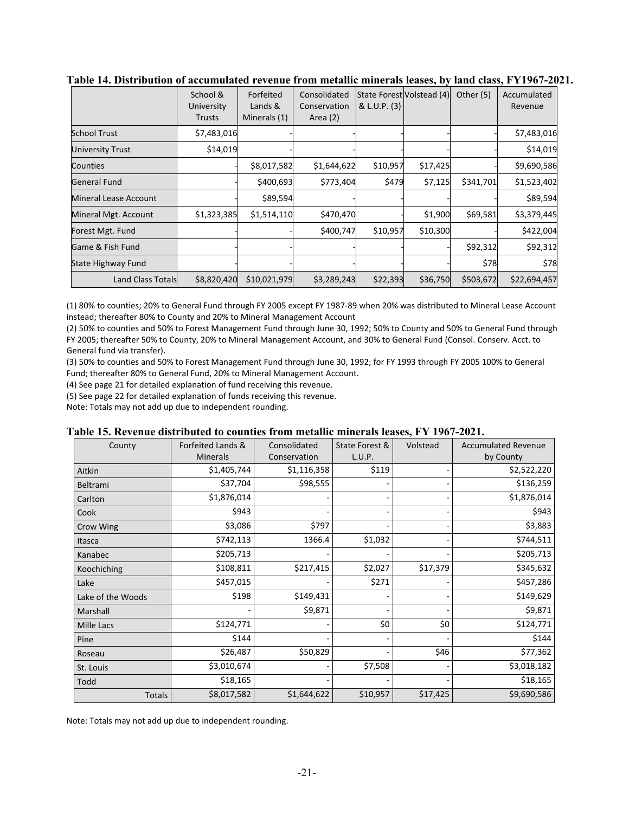|                              | School &<br>University<br>Trusts | Forfeited<br>Lands &<br>Minerals (1) | Consolidated<br>Conservation<br>Area $(2)$ | State Forest Volstead (4)<br>& L.U.P. (3) |          | Other (5) | Accumulated<br>Revenue |
|------------------------------|----------------------------------|--------------------------------------|--------------------------------------------|-------------------------------------------|----------|-----------|------------------------|
| <b>School Trust</b>          | \$7,483,016                      |                                      |                                            |                                           |          |           | \$7,483,016            |
| <b>University Trust</b>      | \$14,019                         |                                      |                                            |                                           |          |           | \$14,019               |
| Counties                     |                                  | \$8,017,582                          | \$1,644,622                                | \$10,957                                  | \$17,425 |           | \$9,690,586            |
| <b>General Fund</b>          |                                  | \$400,693                            | \$773,404                                  | \$479                                     | \$7,125  | \$341,701 | \$1,523,402            |
| <b>Mineral Lease Account</b> |                                  | \$89,594                             |                                            |                                           |          |           | \$89,594               |
| Mineral Mgt. Account         | \$1,323,385                      | \$1,514,110                          | \$470,470                                  |                                           | \$1,900  | \$69,581  | \$3,379,445            |
| Forest Mgt. Fund             |                                  |                                      | \$400,747                                  | \$10,957                                  | \$10,300 |           | \$422,004              |
| Game & Fish Fund             |                                  |                                      |                                            |                                           |          | \$92,312  | \$92,312               |
| State Highway Fund           |                                  |                                      |                                            |                                           |          | \$78      | \$78                   |
| <b>Land Class Totals</b>     | \$8,820,420                      | \$10,021,979                         | \$3,289,243                                | \$22,393                                  | \$36,750 | \$503,672 | \$22,694,457           |

<span id="page-21-0"></span>**Table 14. Distribution of accumulated revenue from metallic minerals leases, by land class, FY1967-2021.** 

(1) 80% to counties; 20% to General Fund through FY 2005 except FY 1987-89 when 20% was distributed to Mineral Lease Account instead; thereafter 80% to County and 20% to Mineral Management Account

(2) 50% to counties and 50% to Forest Management Fund through June 30, 1992; 50% to County and 50% to General Fund through FY 2005; thereafter 50% to County, 20% to Mineral Management Account, and 30% to General Fund (Consol. Conserv. Acct. to General fund via transfer).

(3) 50% to counties and 50% to Forest Management Fund through June 30, 1992; for FY 1993 through FY 2005 100% to General Fund; thereafter 80% to General Fund, 20% to Mineral Management Account.

(4) See page 21 for detailed explanation of fund receiving this revenue.

(5) See page 22 for detailed explanation of funds receiving this revenue.

Note: Totals may not add up due to independent rounding.

#### <span id="page-21-1"></span>**Table 15. Revenue distributed to counties from metallic minerals leases, FY 1967-2021.**

| County            | Forfeited Lands &<br><b>Minerals</b> | Consolidated<br>Conservation | State Forest &<br>L.U.P. | Volstead | <b>Accumulated Revenue</b><br>by County |
|-------------------|--------------------------------------|------------------------------|--------------------------|----------|-----------------------------------------|
| Aitkin            | \$1,405,744                          | \$1,116,358                  | \$119                    |          | \$2,522,220                             |
| Beltrami          | \$37,704                             | \$98,555                     |                          |          | \$136,259                               |
| Carlton           | \$1,876,014                          |                              |                          |          | \$1,876,014                             |
| Cook              | \$943                                |                              |                          |          | \$943                                   |
| Crow Wing         | \$3,086                              | \$797                        |                          |          | \$3,883                                 |
| Itasca            | \$742,113                            | 1366.4                       | \$1,032                  |          | \$744,511                               |
| Kanabec           | \$205,713                            |                              |                          |          | \$205,713                               |
| Koochiching       | \$108,811                            | \$217,415                    | \$2,027                  | \$17,379 | \$345,632                               |
| Lake              | \$457,015                            |                              | \$271                    |          | \$457,286                               |
| Lake of the Woods | \$198                                | \$149,431                    |                          |          | \$149,629                               |
| Marshall          |                                      | \$9,871                      |                          |          | \$9,871                                 |
| Mille Lacs        | \$124,771                            |                              | \$0                      | \$0      | \$124,771                               |
| Pine              | \$144                                |                              |                          |          | \$144                                   |
| Roseau            | \$26,487                             | \$50,829                     |                          | \$46     | \$77,362                                |
| St. Louis         | \$3,010,674                          |                              | \$7,508                  |          | \$3,018,182                             |
| Todd              | \$18,165                             |                              |                          |          | \$18,165                                |
| <b>Totals</b>     | \$8,017,582                          | \$1,644,622                  | \$10,957                 | \$17,425 | \$9,690,586                             |

Note: Totals may not add up due to independent rounding.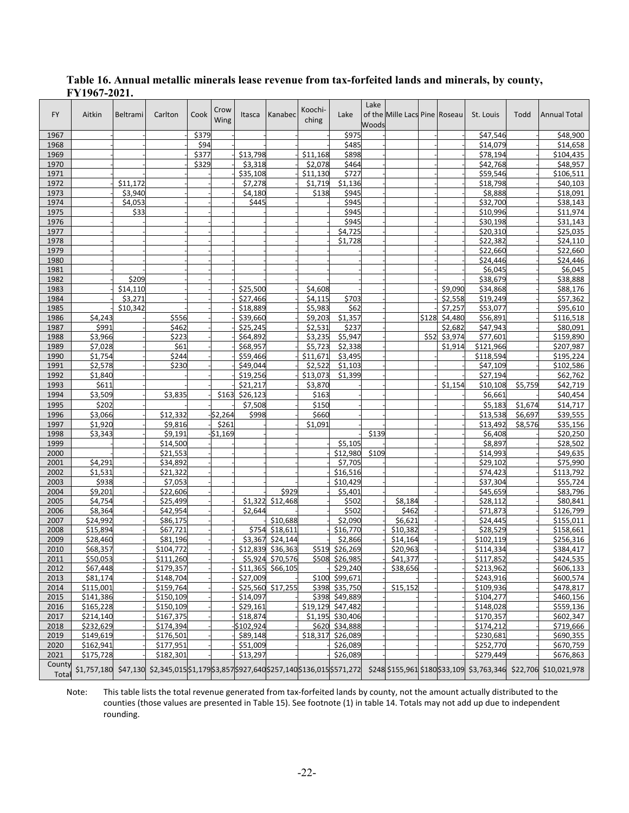| <b>FY</b>       | Aitkin               | Beltrami | Carlton                                                                                  | Cook  | Crow<br>Wing | Itasca               | Kanabec                    | Koochi-<br>ching    | Lake                | Lake<br>Woods | of the Mille Lacs Pine Roseau |       |         | St. Louis             | Todd    | <b>Annual Total</b>                                              |
|-----------------|----------------------|----------|------------------------------------------------------------------------------------------|-------|--------------|----------------------|----------------------------|---------------------|---------------------|---------------|-------------------------------|-------|---------|-----------------------|---------|------------------------------------------------------------------|
| 1967            |                      |          |                                                                                          | \$379 |              |                      |                            |                     | \$975               |               |                               |       |         | \$47,546              |         | \$48,900                                                         |
| 1968            |                      |          |                                                                                          | \$94  |              |                      |                            |                     | \$485               |               |                               |       |         | \$14,079              |         | \$14,658                                                         |
| 1969            |                      |          |                                                                                          | \$377 |              | \$13,798             |                            | \$11,168            | \$898               |               |                               |       |         | \$78,194              |         | \$104,435                                                        |
| 1970            |                      |          |                                                                                          | \$329 |              | \$3,318              |                            | \$2,078             | \$464               |               |                               |       |         | \$42,768              |         | \$48,957                                                         |
| 1971            |                      |          |                                                                                          |       |              | \$35,108             |                            | \$11,130            | \$727               |               |                               |       |         | \$59,546              |         | \$106,511                                                        |
| 1972            |                      | \$11,172 |                                                                                          |       |              | \$7,278              |                            | \$1,719             | \$1,136             |               |                               |       |         | \$18,798              |         | \$40,103                                                         |
| 1973            |                      | \$3,940  |                                                                                          |       |              | \$4,180              |                            | \$138               | \$945               |               |                               |       |         | \$8,888               |         | \$18,091                                                         |
| 1974            |                      | \$4,053  |                                                                                          |       |              | \$445                |                            |                     | \$945               |               |                               |       |         | \$32,700              |         | \$38,143                                                         |
| 1975            |                      | \$33     |                                                                                          |       |              |                      |                            |                     | \$945               |               |                               |       |         | \$10,996              |         | \$11,974                                                         |
| 1976<br>1977    |                      |          |                                                                                          |       |              |                      |                            |                     | \$945<br>\$4,725    |               |                               |       |         | \$30,198<br>\$20,310  |         | \$31,143<br>\$25,035                                             |
| 1978            |                      |          |                                                                                          |       |              |                      |                            |                     | \$1,728             |               |                               |       |         | \$22,382              |         | \$24,110                                                         |
| 1979            |                      |          |                                                                                          |       |              |                      |                            |                     |                     |               |                               |       |         | \$22,660              |         | \$22,660                                                         |
| 1980            |                      |          |                                                                                          |       |              |                      |                            |                     |                     |               |                               |       |         | \$24,446              |         | \$24,446                                                         |
| 1981            |                      |          |                                                                                          |       |              |                      |                            |                     |                     |               |                               |       |         | \$6,045               |         | \$6,045                                                          |
| 1982            |                      | \$209    |                                                                                          |       |              |                      |                            |                     |                     |               |                               |       |         | \$38,679              |         | \$38,888                                                         |
| 1983            |                      | \$14,110 |                                                                                          |       |              | \$25,500             |                            | \$4,608             |                     |               |                               |       | \$9,090 | \$34,868              |         | \$88,176                                                         |
| 1984            |                      | \$3,271  |                                                                                          |       |              | \$27,466             |                            | \$4,115             | \$703               |               |                               |       | \$2,558 | \$19,249              |         | \$57,362                                                         |
| 1985            |                      | \$10,342 |                                                                                          |       |              | \$18,889             |                            | 55,983              | \$62                |               |                               |       | \$7,257 | \$53,077              |         | \$95,610                                                         |
| 1986            | \$4,243              |          | \$556                                                                                    |       |              | \$39,660             |                            | \$9,203             | \$1,357             |               |                               | \$128 | \$4,480 | \$56,891              |         | \$116,518                                                        |
| 1987            | \$991                |          | \$462                                                                                    |       |              | \$25,245             |                            | \$2,531             | \$237               |               |                               |       | \$2,682 | \$47,943              |         | \$80,091                                                         |
| 1988            | \$3,966              |          | \$223                                                                                    |       |              | \$64,892             |                            | \$3,235             | \$5,947             |               |                               | \$52  | \$3,974 | \$77,601              |         | \$159,890                                                        |
| 1989            | \$7,028              |          | \$61                                                                                     |       |              | \$68,957             |                            | \$5,723             | \$2,338             |               |                               |       | \$1,914 | \$121,966             |         | \$207,987                                                        |
| 1990            | \$1,754              |          | \$244                                                                                    |       |              | \$59,466             |                            | \$11,671            | \$3,495             |               |                               |       |         | \$118,594             |         | \$195,224                                                        |
| 1991<br>1992    | \$2,578<br>\$1,840   |          | \$230                                                                                    |       |              | \$49,044<br>\$19,256 |                            | \$2,522<br>\$13.073 | \$1,103<br>\$1,399  |               |                               |       |         | \$47,109<br>\$27,194  |         | \$102,586<br>\$62,762                                            |
| 1993            | \$611                |          |                                                                                          |       |              | \$21,217             |                            | \$3,870             |                     |               |                               |       | \$1,154 | \$10,108              | \$5,759 | \$42,719                                                         |
| 1994            | \$3,509              |          | \$3,835                                                                                  |       | \$163        | \$26,123             |                            | \$163               |                     |               |                               |       |         | \$6,661               |         | \$40,454                                                         |
| 1995            | \$202                |          |                                                                                          |       |              | \$7,508              |                            | \$150               |                     |               |                               |       |         | \$5,183               | \$1,674 | \$14,717                                                         |
| 1996            | \$3,066              |          | \$12,332                                                                                 |       | \$2,264      | \$998                |                            | \$660               |                     |               |                               |       |         | \$13,538              | \$6,697 | \$39,555                                                         |
| 1997            | \$1,920              |          | \$9,816                                                                                  |       | \$261        |                      |                            | \$1,091             |                     |               |                               |       |         | \$13,492              | \$8,576 | \$35,156                                                         |
| 1998            | \$3,343              |          | \$9,191                                                                                  |       | \$1,169      |                      |                            |                     |                     | \$139         |                               |       |         | \$6,408               |         | \$20,250                                                         |
| 1999            |                      |          | \$14,500                                                                                 |       |              |                      |                            |                     | \$5,105             |               |                               |       |         | \$8,897               |         | \$28,502                                                         |
| 2000            |                      |          | \$21,553                                                                                 |       |              |                      |                            |                     | \$12,980            | \$109         |                               |       |         | \$14,993              |         | \$49,635                                                         |
| 2001            | \$4,291              |          | \$34,892                                                                                 |       |              |                      |                            |                     | \$7,705             |               |                               |       |         | \$29,102              |         | 575,990                                                          |
| 2002            | \$1,531              |          | \$21,322                                                                                 |       |              |                      |                            |                     | \$16,516            |               |                               |       |         | \$74,423              |         | \$113,792                                                        |
| 2003            | \$938                |          | \$7,053                                                                                  |       |              |                      |                            |                     | \$10,429            |               |                               |       |         | \$37,304              |         | \$55,724                                                         |
| 2004            | \$9,201              |          | \$22,606                                                                                 |       |              |                      | \$929                      |                     | \$5,401             |               |                               |       |         | \$45,659              |         | \$83,796                                                         |
| 2005            | \$4,754              |          | \$25,499                                                                                 |       |              | \$1.322              | \$12,468                   |                     | \$502               |               | \$8,184                       |       |         | \$28,112              |         | \$80,841                                                         |
| 2006            | \$8,364              |          | \$42,954                                                                                 |       |              | \$2.644              |                            |                     | \$502               |               | \$462                         |       |         | \$71,873              |         | $\frac{1}{126,799}$                                              |
| 2007<br>2008    | \$24,992<br>\$15,894 |          | \$86,175<br>\$67,721                                                                     |       |              |                      | \$10,688<br>\$754 \$18,611 |                     | \$2,090<br>\$16,770 |               | \$6,621<br>\$10,382           |       |         | \$24,445<br>\$28,529  |         | \$155,011<br>\$158,661                                           |
| 2009            | \$28,460             |          | \$81,196                                                                                 |       |              |                      | \$3,367 \$24,144           |                     | \$2,866             |               | \$14,164                      |       |         | \$102,119             |         | \$256,316                                                        |
| 2010            | \$68,357             |          | \$104,772                                                                                |       |              |                      | \$12,839 \$36,363          |                     | \$519 \$26,269      |               | \$20,963                      |       |         | \$114,334             |         | \$384,417                                                        |
| 2011            | \$50,053             |          | \$111,260                                                                                |       |              |                      | \$5,924 \$70,576           |                     | \$508 \$26,985      |               | \$41,377                      |       |         | \$117,852             |         | \$424,535                                                        |
| 2012            | \$67,448             |          | \$179,357                                                                                |       |              |                      | \$11,365 \$66,105          |                     | \$29,240            |               | \$38,656                      |       |         | \$213,962             |         | \$606,133                                                        |
| 2013            | \$81,174             |          | \$148,704                                                                                |       |              | \$27,009             |                            |                     | \$100 \$99,671      |               |                               |       |         | $\overline{$}243,916$ |         | \$600,574                                                        |
| 2014            | \$115,001            |          | \$159,764                                                                                |       |              |                      | \$25,560 \$17,255          |                     | \$398 \$35,750      |               | \$15,152                      |       |         | \$109,936             |         | \$478,817                                                        |
| 2015            | \$141,386            |          | \$150,109                                                                                |       |              | \$14,097             |                            |                     | \$398 \$49,889      |               |                               |       |         | \$104,277             |         | \$460,156                                                        |
| 2016            | \$165,228            |          | \$150,109                                                                                |       |              | \$29,161             |                            |                     | \$19,129 \$47,482   |               |                               |       |         | \$148,028             |         | \$559,136                                                        |
| 2017            | \$214,140            |          | \$167,375                                                                                |       |              | \$18,874             |                            |                     | \$1,195 \$30,406    |               |                               |       |         | \$170,357             |         | \$602,347                                                        |
| 2018            | \$232,629            |          | \$174,394                                                                                |       |              | \$102,924            |                            |                     | \$620 \$34,888      |               |                               |       |         | \$174,212             |         | \$719,666                                                        |
| 2019            | \$149,619            |          | \$176,501                                                                                |       |              | \$89,148             |                            |                     | \$18,317 \$26,089   |               |                               |       |         | \$230,681             |         | 5690,355                                                         |
| 2020            | \$162,941            |          | \$177,951                                                                                |       |              | \$51,009             |                            |                     | \$26,089            |               |                               |       |         | \$252,770             |         | \$670,759                                                        |
| 2021            | \$175,728            |          | \$182,301                                                                                |       |              | \$13,297             |                            |                     | \$26,089            |               |                               |       |         | \$279,449             |         | \$676,863                                                        |
| County<br>Total |                      |          | \$1,757,180 \$47,130 \$2,345,015 \$1,179 \$3,857 \$927,640 \$257,140 \$136,015 \$571,272 |       |              |                      |                            |                     |                     |               |                               |       |         |                       |         | \$248 \$155,961 \$180 \$33,109 \$3,763,346 \$22,706 \$10,021,978 |

### <span id="page-22-0"></span>**Table 16. Annual metallic minerals lease revenue from tax-forfeited lands and minerals, by county, FY1967-2021.**

Note: This table lists the total revenue generated from tax-forfeited lands by county, not the amount actually distributed to the counties (those values are presented in Table 15). See footnote (1) in table 14. Totals may not add up due to independent rounding.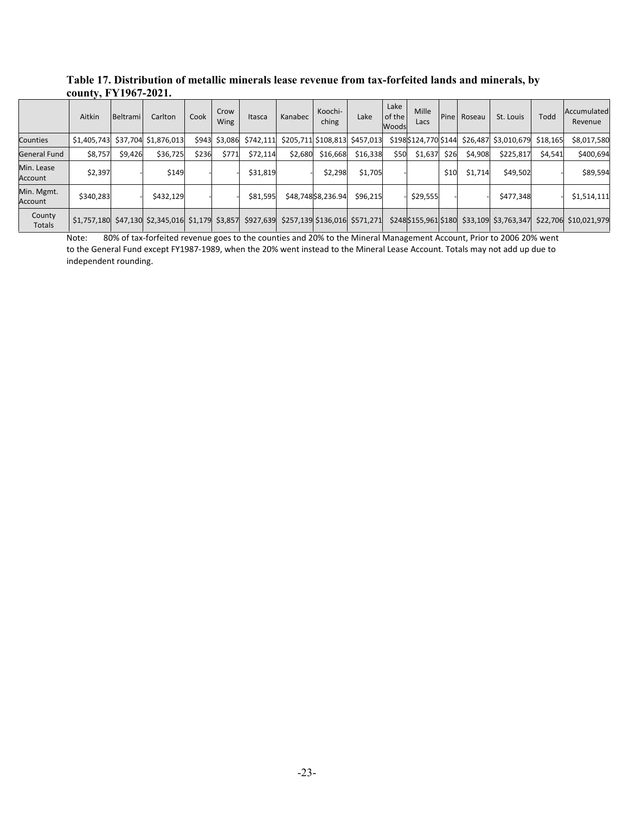<span id="page-23-0"></span>

| Table 17. Distribution of metallic minerals lease revenue from tax-forfeited lands and minerals, by |  |  |  |  |  |  |  |
|-----------------------------------------------------------------------------------------------------|--|--|--|--|--|--|--|
| county, FY1967-2021.                                                                                |  |  |  |  |  |  |  |
|                                                                                                     |  |  |  |  |  |  |  |

|                       | Aitkin      | Beltrami | Carlton                                                                      | Cook  | Crow<br>Wing  | Itasca    | Kanabec | Koochi-<br>ching   | Lake                          | Lake<br>of the<br>Woods | Mille<br>Lacs | Pine | Roseau  | St. Louis                                 | Todd     | Accumulated<br>Revenue |
|-----------------------|-------------|----------|------------------------------------------------------------------------------|-------|---------------|-----------|---------|--------------------|-------------------------------|-------------------------|---------------|------|---------|-------------------------------------------|----------|------------------------|
| Counties              | \$1,405,743 |          | \$37,704 \$1,876,013                                                         |       | \$943 \$3,086 | \$742,111 |         |                    | \$205,711 \$108,813 \$457,013 |                         |               |      |         | \$198\$124,770 \$144 \$26,487 \$3,010,679 | \$18,165 | \$8,017,580            |
| General Fund          | \$8,757     | \$9,426  | \$36,725                                                                     | \$236 | \$771         | \$72,114  | \$2,680 | \$16,668           | \$16,338                      | \$50                    | \$1,637       | \$26 | \$4,908 | \$225,817                                 | \$4,541  | \$400,694              |
| Min. Lease<br>Account | \$2,397     |          | \$149                                                                        |       |               | \$31,819  |         | \$2,298            | \$1,705                       |                         |               | \$10 | \$1,714 | \$49,502                                  |          | \$89,594               |
| Min. Mgmt.<br>Account | \$340,283   |          | \$432,129                                                                    |       |               | \$81,595  |         | \$48,748\$8,236.94 | \$96,215                      |                         | \$29,555      |      |         | \$477,348                                 |          | \$1,514,111            |
| County<br>Totals      | \$1,757,180 |          | \$47,130 \$2,345,016 \$1,179 \$3,857 \$927,639 \$257,139 \$136,016 \$571,271 |       |               |           |         |                    |                               |                         |               |      |         | \$248\$155,961\$180 \$33,109 \$3,763,347  | \$22,706 | \$10,021,979           |

Note: 80% of tax-forfeited revenue goes to the counties and 20% to the Mineral Management Account, Prior to 2006 20% went to the General Fund except FY1987-1989, when the 20% went instead to the Mineral Lease Account. Totals may not add up due to independent rounding.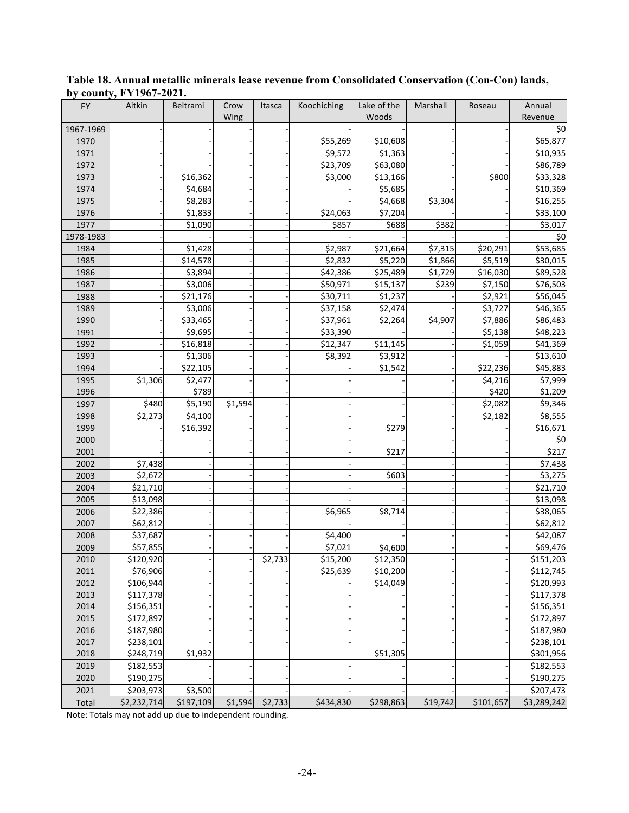| <b>FY</b> | Aitkin                 | Beltrami  | Crow    | Itasca  | Koochiching | Lake of the | Marshall | Roseau    | Annual      |
|-----------|------------------------|-----------|---------|---------|-------------|-------------|----------|-----------|-------------|
|           |                        |           | Wing    |         |             | Woods       |          |           | Revenue     |
| 1967-1969 |                        |           |         |         |             |             |          |           | \$0         |
| 1970      |                        |           |         |         | \$55,269    | \$10,608    |          |           | \$65,877    |
| 1971      |                        |           |         |         | \$9,572     | \$1,363     |          |           | \$10,935    |
| 1972      |                        |           |         |         | \$23,709    | \$63,080    |          |           | \$86,789    |
| 1973      |                        | \$16,362  |         |         | \$3,000     | \$13,166    |          | \$800     | \$33,328    |
| 1974      |                        | \$4,684   |         |         |             | \$5,685     |          |           | \$10,369    |
| 1975      |                        | \$8,283   |         |         |             | \$4,668     | \$3,304  |           | \$16,255    |
| 1976      |                        | \$1,833   |         |         | \$24,063    | \$7,204     |          |           | \$33,100    |
| 1977      |                        | \$1,090   |         |         | \$857       | \$688       | \$382    |           | \$3,017     |
| 1978-1983 |                        |           |         |         |             |             |          |           | \$0         |
| 1984      |                        | \$1,428   |         |         | \$2,987     | \$21,664    | \$7,315  | \$20,291  | \$53,685    |
| 1985      |                        | \$14,578  |         |         | \$2,832     | \$5,220     | \$1,866  | \$5,519   | \$30,015    |
| 1986      |                        | \$3,894   |         |         | \$42,386    | \$25,489    | \$1,729  | \$16,030  | \$89,528    |
| 1987      |                        | \$3,006   |         |         | \$50,971    | \$15,137    | \$239    | \$7,150   | \$76,503    |
| 1988      |                        | \$21,176  |         |         | \$30,711    | \$1,237     |          | \$2,921   | \$56,045    |
| 1989      |                        | \$3,006   |         |         | \$37,158    | \$2,474     |          | \$3,727   | \$46,365    |
| 1990      |                        | \$33,465  |         |         | \$37,961    | \$2,264     | \$4,907  | \$7,886   | \$86,483    |
| 1991      |                        | \$9,695   |         |         | \$33,390    |             |          | \$5,138   | \$48,223    |
| 1992      |                        | \$16,818  |         |         | \$12,347    | \$11,145    |          | \$1,059   | \$41,369    |
| 1993      |                        | \$1,306   |         |         | \$8,392     | \$3,912     |          |           | \$13,610    |
| 1994      |                        | \$22,105  |         |         |             | \$1,542     |          | \$22,236  | \$45,883    |
| 1995      | \$1,306                | \$2,477   |         |         |             |             |          | \$4,216   | \$7,999     |
| 1996      |                        | \$789     |         |         |             |             |          | \$420     | \$1,209     |
| 1997      | \$480                  | \$5,190   | \$1,594 |         |             |             |          | \$2,082   | \$9,346     |
| 1998      | \$2,273                | \$4,100   |         |         |             |             |          | \$2,182   | \$8,555     |
| 1999      |                        | \$16,392  |         |         |             | \$279       |          |           | \$16,671    |
| 2000      |                        |           |         |         |             |             |          |           | \$0         |
| 2001      |                        |           |         |         |             | \$217       |          |           | \$217       |
| 2002      | \$7,438                |           |         |         |             |             |          |           | \$7,438     |
| 2003      | \$2,672                |           |         |         |             | \$603       |          |           | \$3,275     |
| 2004      | \$21,710               |           |         |         |             |             |          |           | \$21,710    |
| 2005      | \$13,098               |           |         |         |             |             |          |           | \$13,098    |
| 2006      | \$22,386               |           |         |         | \$6,965     | \$8,714     |          |           | \$38,065    |
| 2007      | \$62,812               |           |         |         |             |             |          |           | \$62,812    |
| 2008      | \$37,687               |           |         |         | \$4,400     |             |          |           | \$42,087    |
| 2009      | \$57,855               |           |         |         | \$7,021     | \$4,600     |          |           | \$69,476    |
| 2010      | \$120,920              |           |         | \$2,733 | \$15,200    | \$12,350    |          |           | \$151,203   |
| 2011      | \$76,906               |           |         |         | \$25,639    | \$10,200    |          |           | \$112,745   |
| 2012      | \$106,944              |           |         |         |             | \$14,049    |          |           | \$120,993   |
| 2013      | \$117,378              |           |         |         |             |             |          |           | \$117,378   |
| 2014      | \$156,351              |           |         |         |             |             |          |           | \$156,351   |
| 2015      | \$172,897              |           |         |         |             |             |          |           | \$172,897   |
| 2016      | \$187,980              |           |         |         |             |             |          |           | \$187,980   |
| 2017      |                        |           |         |         |             |             |          |           | \$238,101   |
| 2018      | \$238,101<br>\$248,719 | \$1,932   |         |         |             | \$51,305    |          |           | \$301,956   |
|           |                        |           |         |         |             |             |          |           |             |
| 2019      | \$182,553              |           |         |         |             |             |          |           | \$182,553   |
| 2020      | \$190,275              |           |         |         |             |             |          |           | \$190,275   |
| 2021      | \$203,973              | \$3,500   |         |         |             |             |          |           | \$207,473   |
| Total     | \$2,232,714            | \$197,109 | \$1,594 | \$2,733 | \$434,830   | \$298,863   | \$19,742 | \$101,657 | \$3,289,242 |

<span id="page-24-0"></span>**Table 18. Annual metallic minerals lease revenue from Consolidated Conservation (Con-Con) lands, by county, FY1967-2021.** 

Note: Totals may not add up due to independent rounding.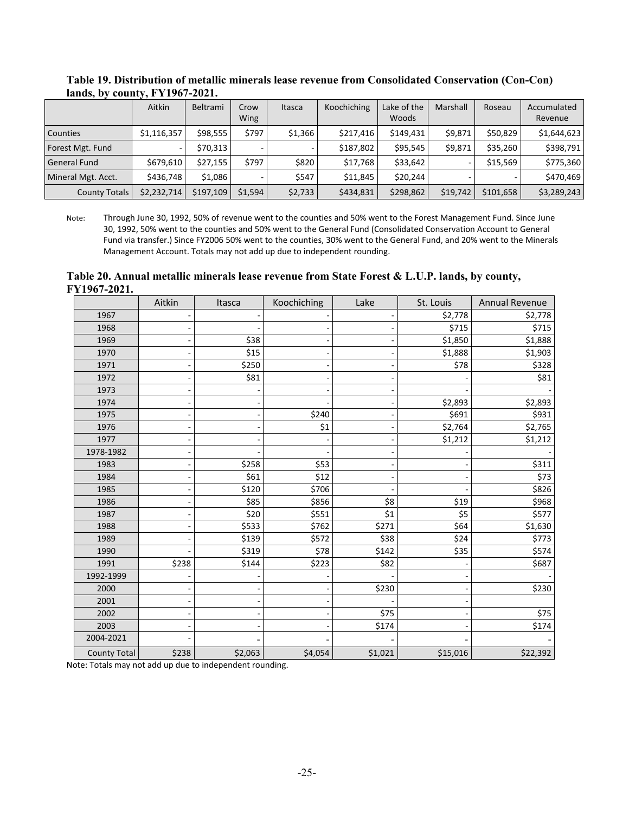|                      | Aitkin      | Beltrami  | Crow<br>Wing | Itasca  | Koochiching | Lake of the<br><b>Woods</b> | Marshall | Roseau    | Accumulated<br>Revenue |
|----------------------|-------------|-----------|--------------|---------|-------------|-----------------------------|----------|-----------|------------------------|
| <b>Counties</b>      | \$1,116,357 | \$98,555  | \$797        | \$1,366 | \$217,416   | \$149.431                   | \$9,871  | \$50,829  | \$1,644,623            |
| Forest Mgt. Fund     |             | \$70.313  |              |         | \$187,802   | \$95.545                    | \$9,871  | \$35,260  | \$398,791              |
| <b>General Fund</b>  | \$679.610   | \$27,155  | \$797        | \$820   | \$17,768    | \$33,642                    |          | \$15,569  | \$775,360              |
| Mineral Mgt. Acct.   | \$436,748   | \$1.086   |              | \$547   | \$11.845    | \$20.244                    |          |           | \$470.469              |
| <b>County Totals</b> | \$2,232,714 | \$197,109 | \$1,594      | \$2,733 | \$434,831   | \$298,862                   | \$19,742 | \$101,658 | \$3,289,243            |

<span id="page-25-0"></span>**Table 19. Distribution of metallic minerals lease revenue from Consolidated Conservation (Con-Con) lands, by county, FY1967-2021.** 

Note: Through June 30, 1992, 50% of revenue went to the counties and 50% went to the Forest Management Fund. Since June 30, 1992, 50% went to the counties and 50% went to the General Fund (Consolidated Conservation Account to General Fund via transfer.) Since FY2006 50% went to the counties, 30% went to the General Fund, and 20% went to the Minerals Management Account. Totals may not add up due to independent rounding.

<span id="page-25-1"></span>**Table 20. Annual metallic minerals lease revenue from State Forest & L.U.P. lands, by county, FY1967-2021.** 

|                     | Aitkin | Itasca  | Koochiching | Lake    | St. Louis | Annual Revenue |
|---------------------|--------|---------|-------------|---------|-----------|----------------|
| 1967                |        |         |             |         | \$2,778   | \$2,778        |
| 1968                |        |         |             |         | \$715     | \$715          |
| 1969                |        | \$38    |             |         | \$1,850   | \$1,888        |
| 1970                |        | \$15    |             |         | \$1,888   | \$1,903        |
| 1971                |        | \$250   |             |         | \$78      | \$328          |
| 1972                |        | \$81    |             |         |           | \$81           |
| 1973                |        |         |             |         |           |                |
| 1974                |        |         |             |         | \$2,893   | \$2,893        |
| 1975                |        |         | \$240       |         | \$691     | \$931          |
| 1976                |        |         | \$1         |         | \$2,764   | \$2,765        |
| 1977                |        |         |             |         | \$1,212   | \$1,212        |
| 1978-1982           |        |         |             |         |           |                |
| 1983                |        | \$258   | \$53        |         |           | \$311          |
| 1984                |        | \$61    | \$12        |         |           | \$73           |
| 1985                |        | \$120   | \$706       |         |           | \$826          |
| 1986                |        | \$85    | \$856       | \$8     | \$19      | \$968          |
| 1987                |        | \$20    | \$551       | \$1     | \$5       | \$577          |
| 1988                |        | \$533   | \$762       | \$271   | \$64      | \$1,630        |
| 1989                |        | \$139   | \$572       | \$38    | \$24      | \$773          |
| 1990                |        | \$319   | \$78        | \$142   | \$35      | \$574          |
| 1991                | \$238  | \$144   | \$223       | \$82    |           | \$687          |
| 1992-1999           |        |         |             |         |           |                |
| 2000                |        |         |             | \$230   |           | \$230          |
| 2001                |        |         |             |         |           |                |
| 2002                |        |         |             | \$75    |           | \$75           |
| 2003                |        |         |             | \$174   |           | \$174          |
| 2004-2021           |        |         |             |         |           |                |
| <b>County Total</b> | \$238  | \$2,063 | \$4,054     | \$1,021 | \$15,016  | \$22,392       |

Note: Totals may not add up due to independent rounding.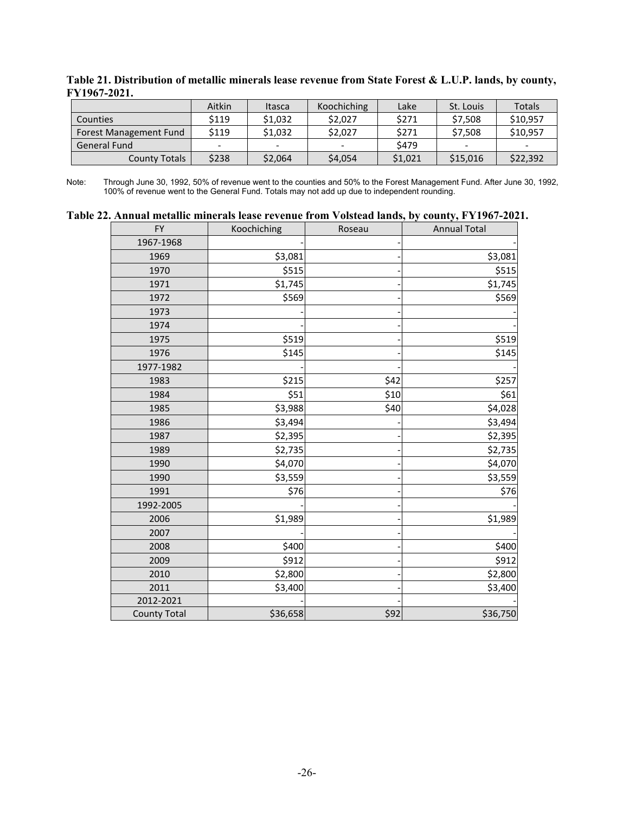|                        | Aitkin | Itasca  | Koochiching | Lake    | St. Louis | Totals   |
|------------------------|--------|---------|-------------|---------|-----------|----------|
| <b>Counties</b>        | \$119  | \$1.032 | \$2.027     | \$271   | \$7.508   | \$10.957 |
| Forest Management Fund | \$119  | \$1,032 | \$2,027     | \$271   | \$7,508   | \$10,957 |
| <b>General Fund</b>    |        |         |             | \$479   |           |          |
| <b>County Totals</b>   | \$238  | \$2,064 | \$4,054     | \$1,021 | \$15,016  | \$22,392 |

<span id="page-26-0"></span>**Table 21. Distribution of metallic minerals lease revenue from State Forest & L.U.P. lands, by county, FY1967-2021.** 

Note: Through June 30, 1992, 50% of revenue went to the counties and 50% to the Forest Management Fund. After June 30, 1992, 100% of revenue went to the General Fund. Totals may not add up due to independent rounding.

<span id="page-26-1"></span>

| Table 22. Annual metallic minerals lease revenue from Volstead lands, by county, FY1967-2021. |  |  |  |
|-----------------------------------------------------------------------------------------------|--|--|--|
|-----------------------------------------------------------------------------------------------|--|--|--|

| <b>FY</b>           | Koochiching | Roseau | <b>Annual Total</b> |
|---------------------|-------------|--------|---------------------|
| 1967-1968           |             |        |                     |
| 1969                | \$3,081     |        | \$3,081             |
| 1970                | \$515       |        | \$515               |
| 1971                | \$1,745     |        | \$1,745             |
| 1972                | \$569       |        | \$569               |
| 1973                |             |        |                     |
| 1974                |             |        |                     |
| 1975                | \$519       |        | \$519               |
| 1976                | \$145       |        | \$145               |
| 1977-1982           |             |        |                     |
| 1983                | \$215       | \$42   | \$257               |
| 1984                | \$51        | \$10   | \$61                |
| 1985                | \$3,988     | \$40   | \$4,028             |
| 1986                | \$3,494     |        | \$3,494             |
| 1987                | \$2,395     |        | \$2,395             |
| 1989                | \$2,735     |        | \$2,735             |
| 1990                | \$4,070     |        | \$4,070             |
| 1990                | \$3,559     |        | \$3,559             |
| 1991                | \$76        |        | \$76                |
| 1992-2005           |             |        |                     |
| 2006                | \$1,989     |        | \$1,989             |
| 2007                |             |        |                     |
| 2008                | \$400       |        | \$400               |
| 2009                | \$912       |        | \$912               |
| 2010                | \$2,800     |        | \$2,800             |
| 2011                | \$3,400     |        | \$3,400             |
| 2012-2021           |             |        |                     |
| <b>County Total</b> | \$36,658    | \$92   | \$36,750            |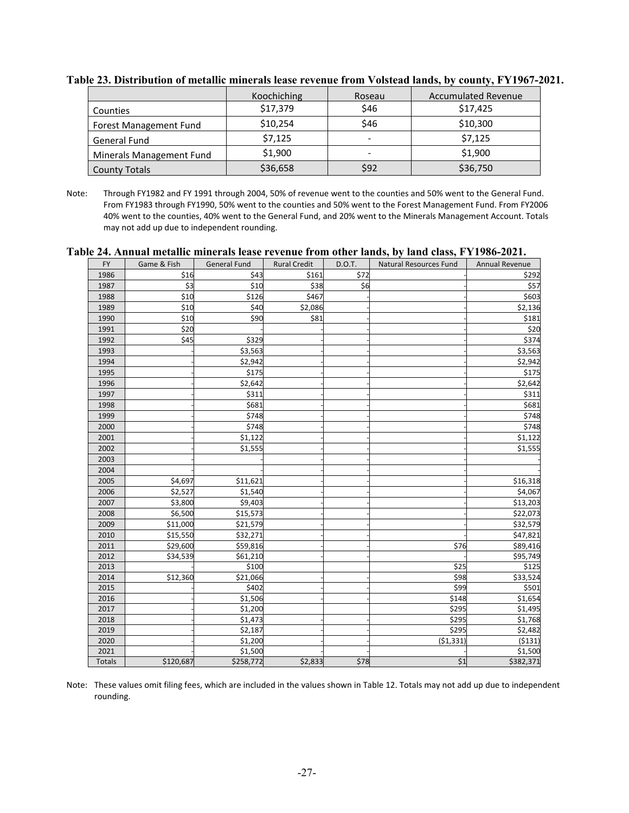|                          | Koochiching | Roseau                   | <b>Accumulated Revenue</b> |
|--------------------------|-------------|--------------------------|----------------------------|
| Counties                 | \$17,379    | \$46                     | \$17,425                   |
| Forest Management Fund   | \$10,254    | \$46                     | \$10,300                   |
| General Fund             | \$7,125     | $\overline{\phantom{a}}$ | \$7,125                    |
| Minerals Management Fund | \$1,900     | -                        | \$1,900                    |
| <b>County Totals</b>     | \$36,658    | \$92                     | \$36,750                   |

<span id="page-27-0"></span>**Table 23. Distribution of metallic minerals lease revenue from Volstead lands, by county, FY1967-2021.** 

Note: Through FY1982 and FY 1991 through 2004, 50% of revenue went to the counties and 50% went to the General Fund. From FY1983 through FY1990, 50% went to the counties and 50% went to the Forest Management Fund. From FY2006 40% went to the counties, 40% went to the General Fund, and 20% went to the Minerals Management Account. Totals may not add up due to independent rounding.

<span id="page-27-1"></span>

|  |  | Table 24. Annual metallic minerals lease revenue from other lands, by land class, FY1986-2021. |  |  |  |
|--|--|------------------------------------------------------------------------------------------------|--|--|--|
|  |  |                                                                                                |  |  |  |

| <b>FY</b>     | Game & Fish | General Fund | <b>Rural Credit</b> | D.O.T. | <b>Natural Resources Fund</b> | Annual Revenue |
|---------------|-------------|--------------|---------------------|--------|-------------------------------|----------------|
| 1986          | \$16        | \$43         | \$161               | \$72   |                               | \$292          |
| 1987          | \$3         | \$10         | \$38                | \$6    |                               | \$57           |
| 1988          | \$10        | \$126        | \$467               |        |                               | \$603          |
| 1989          | \$10        | \$40         | \$2,086             |        |                               | \$2,136        |
| 1990          | \$10        | \$90         | \$81                |        |                               | \$181          |
| 1991          | \$20        |              |                     |        |                               | \$20           |
| 1992          | \$45        | \$329        |                     |        |                               | \$374          |
| 1993          |             | \$3,563      |                     |        |                               | \$3,563        |
| 1994          |             | \$2,942      |                     |        |                               | \$2,942        |
| 1995          |             | \$175        |                     |        |                               | \$175          |
| 1996          |             | \$2,642      |                     |        |                               | \$2,642        |
| 1997          |             | \$311        |                     |        |                               | \$311          |
| 1998          |             | \$681        |                     |        |                               | \$681          |
| 1999          |             | \$748        |                     |        |                               | \$748          |
| 2000          |             | \$748        |                     |        |                               | \$748          |
| 2001          |             | \$1,122      |                     |        |                               | \$1,122        |
| 2002          |             | \$1,555      |                     |        |                               | \$1,555        |
| 2003          |             |              |                     |        |                               |                |
| 2004          |             |              |                     |        |                               |                |
| 2005          | \$4,697     | \$11,621     |                     |        |                               | \$16,318       |
| 2006          | \$2,527     | \$1,540      |                     |        |                               | \$4,067        |
| 2007          | \$3,800     | \$9,403      |                     |        |                               | \$13,203       |
| 2008          | \$6,500     | \$15,573     |                     |        |                               | \$22,073       |
| 2009          | \$11,000    | \$21,579     |                     |        |                               | \$32,579       |
| 2010          | \$15,550    | \$32,271     |                     |        |                               | \$47,821       |
| 2011          | \$29,600    | \$59,816     |                     |        | \$76                          | \$89,416       |
| 2012          | \$34,539    | \$61,210     |                     |        |                               | \$95,749       |
| 2013          |             | \$100        |                     |        | \$25                          | \$125          |
| 2014          | \$12,360    | \$21,066     |                     |        | \$98                          | \$33,524       |
| 2015          |             | \$402        |                     |        | \$99                          | \$501          |
| 2016          |             | \$1,506      |                     |        | \$148                         | \$1,654        |
| 2017          |             | \$1,200      |                     |        | \$295                         | \$1,495        |
| 2018          |             | \$1,473      |                     |        | \$295                         | \$1,768        |
| 2019          |             | \$2,187      |                     |        | \$295                         | \$2,482        |
| 2020          |             | \$1,200      |                     |        | (51, 331)                     | (5131)         |
| 2021          |             | \$1,500      |                     |        |                               | \$1,500        |
| <b>Totals</b> | \$120,687   | \$258,772    | \$2,833             | \$78   | \$1                           | \$382,371      |

Note: These values omit filing fees, which are included in the values shown in Table 12. Totals may not add up due to independent rounding.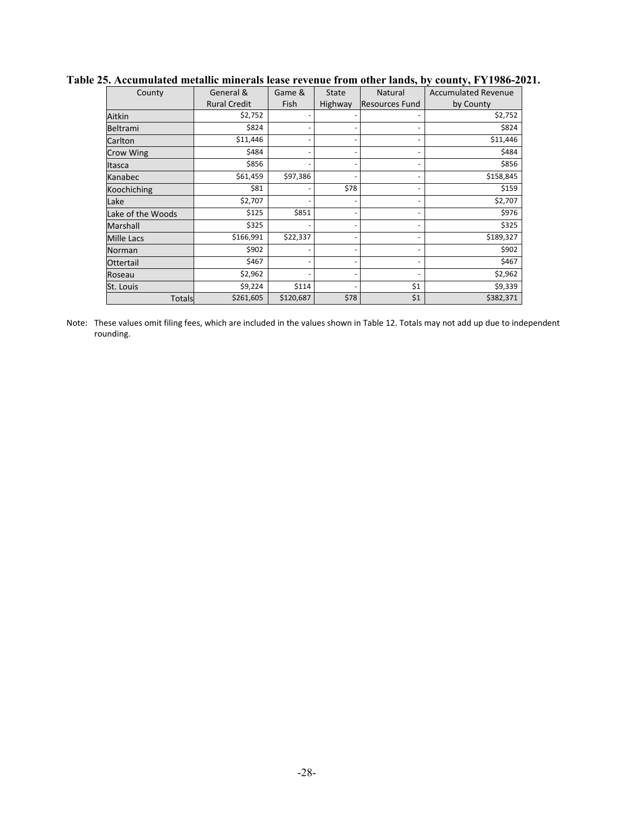| County            | General &           | Game &    | <b>State</b> | Natural                  | <b>Accumulated Revenue</b> |
|-------------------|---------------------|-----------|--------------|--------------------------|----------------------------|
|                   | <b>Rural Credit</b> | Fish      | Highway      | <b>Resources Fund</b>    | by County                  |
| Aitkin            | \$2,752             |           |              | $\overline{\phantom{a}}$ | \$2,752                    |
| Beltrami          | \$824               |           |              | $\overline{\phantom{a}}$ | \$824                      |
| Carlton           | \$11,446            |           |              | $\overline{\phantom{a}}$ | \$11,446                   |
| <b>Crow Wing</b>  | \$484               |           |              | $\overline{\phantom{a}}$ | \$484                      |
| Itasca            | \$856               |           |              | $\overline{\phantom{a}}$ | \$856                      |
| Kanabec           | \$61,459            | \$97,386  |              | $\overline{\phantom{a}}$ | \$158,845                  |
| Koochiching       | \$81                |           | \$78         | $\overline{\phantom{a}}$ | \$159                      |
| Lake              | \$2,707             |           |              | -                        | \$2,707                    |
| Lake of the Woods | \$125               | \$851     |              | $\overline{\phantom{a}}$ | \$976                      |
| Marshall          | \$325               |           |              | $\overline{\phantom{a}}$ | \$325                      |
| <b>Mille Lacs</b> | \$166,991           | \$22,337  |              | $\overline{\phantom{a}}$ | \$189,327                  |
| <b>Norman</b>     | \$902               |           |              | $\overline{\phantom{a}}$ | \$902                      |
| Ottertail         | \$467               |           |              | $\overline{\phantom{a}}$ | \$467                      |
| Roseau            | \$2,962             |           |              |                          | \$2,962                    |
| St. Louis         | \$9,224             | \$114     |              | \$1                      | \$9,339                    |
| <b>Totals</b>     | \$261,605           | \$120,687 | \$78         | \$1                      | \$382,371                  |

### <span id="page-28-0"></span>**Table 25. Accumulated metallic minerals lease revenue from other lands, by county, FY1986-2021.**

Note: These values omit filing fees, which are included in the values shown in Table 12. Totals may not add up due to independent rounding.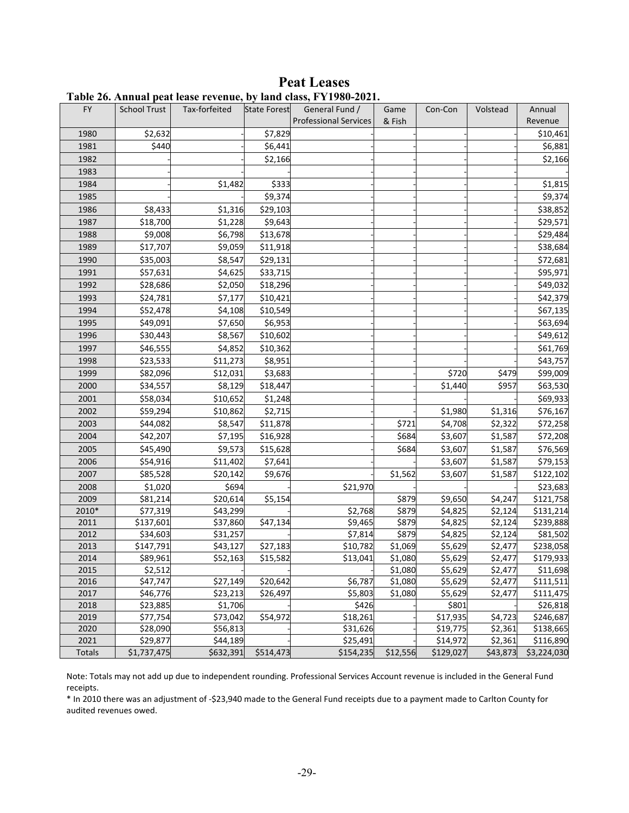<span id="page-29-1"></span>

|        |                     |                    |                     | 1 avit 20. Alliuai ptat itast Teveliut, by Ianu tiass, 1°1 1700-2021. |                |                       |                     |                    |
|--------|---------------------|--------------------|---------------------|-----------------------------------------------------------------------|----------------|-----------------------|---------------------|--------------------|
| FY.    | <b>School Trust</b> | Tax-forfeited      | <b>State Forest</b> | General Fund /<br><b>Professional Services</b>                        | Game<br>& Fish | Con-Con               | Volstead            | Annual<br>Revenue  |
| 1980   | \$2,632             |                    | \$7,829             |                                                                       |                |                       |                     | \$10,461           |
| 1981   | \$440               |                    | \$6,441             |                                                                       |                |                       |                     | \$6,881            |
| 1982   |                     |                    | \$2,166             |                                                                       |                |                       |                     | \$2,166            |
| 1983   |                     |                    |                     |                                                                       |                |                       |                     |                    |
| 1984   |                     | \$1,482            | \$333               |                                                                       |                |                       |                     |                    |
| 1985   |                     |                    | \$9,374             |                                                                       |                |                       |                     | \$1,815<br>\$9,374 |
|        |                     |                    | \$29,103            |                                                                       |                |                       |                     |                    |
| 1986   | \$8,433             | \$1,316            |                     |                                                                       |                |                       |                     | \$38,852           |
| 1987   | \$18,700            | \$1,228            | \$9,643             |                                                                       |                |                       |                     | \$29,571           |
| 1988   | \$9,008<br>\$17,707 | \$6,798<br>\$9,059 | \$13,678            |                                                                       |                |                       |                     | \$29,484           |
| 1989   |                     |                    | \$11,918            |                                                                       |                |                       |                     | \$38,684           |
| 1990   | \$35,003            | \$8,547            | \$29,131            |                                                                       |                |                       |                     | \$72,681           |
| 1991   | \$57,631            | \$4,625            | \$33,715            |                                                                       |                |                       |                     | \$95,971           |
| 1992   | \$28,686            | \$2,050            | \$18,296            |                                                                       |                |                       |                     | \$49,032           |
| 1993   | \$24,781            | \$7,177            | \$10,421            |                                                                       |                |                       |                     | \$42,379           |
| 1994   | \$52,478            | \$4,108            | \$10,549            |                                                                       |                |                       |                     | \$67,135           |
| 1995   | \$49,091            | \$7,650            | \$6,953             |                                                                       |                |                       |                     | \$63,694           |
| 1996   | \$30,443            | \$8,567            | \$10,602            |                                                                       |                |                       |                     | \$49,612           |
| 1997   | \$46,555            | \$4,852            | \$10,362            |                                                                       |                |                       |                     | \$61,769           |
| 1998   | \$23,533            | \$11,273           | \$8,951             |                                                                       |                |                       |                     | \$43,757           |
| 1999   | \$82,096            | \$12,031           | \$3,683             |                                                                       |                | \$720                 | \$479               | \$99,009           |
| 2000   | \$34,557            | \$8,129            | \$18,447            |                                                                       |                | \$1,440               | \$957               | \$63,530           |
| 2001   | \$58,034            | \$10,652           | \$1,248             |                                                                       |                |                       |                     | \$69,933           |
| 2002   | \$59,294            | \$10,862           | \$2,715             |                                                                       |                | \$1,980               | \$1,316             | \$76,167           |
| 2003   | \$44,082            | \$8,547            | \$11,878            |                                                                       | \$721          | \$4,708               | \$2,322             | \$72,258           |
| 2004   | \$42,207            | \$7,195            | \$16,928            |                                                                       | \$684          | \$3,607               | \$1,587             | \$72,208           |
| 2005   | \$45,490            | \$9,573            | \$15,628            |                                                                       | \$684          | \$3,607               | \$1,587             | \$76,569           |
| 2006   | \$54,916            | \$11,402           | \$7,641             |                                                                       |                | \$3,607               | \$1,587             | \$79,153           |
| 2007   | \$85,528            | \$20,142           | \$9,676             |                                                                       | \$1,562        | \$3,607               | \$1,587             | \$122,102          |
| 2008   | \$1,020             | \$694              |                     | \$21,970                                                              |                |                       |                     | \$23,683           |
| 2009   | \$81,214            | \$20,614           | \$5,154             |                                                                       | \$879          | \$9,650               | \$4,247             | \$121,758          |
| 2010*  | \$77,319            | \$43,299           |                     | \$2,768                                                               | \$879          | \$4,825               | \$2,124             | \$131,214          |
| 2011   | \$137,601           | \$37,860           | \$47,134            | \$9,465                                                               | \$879          | \$4,825               | \$2,124             | \$239,888          |
| 2012   | \$34,603            | \$31,257           |                     | \$7,814                                                               | \$879          | \$4,825               | \$2,124             | \$81,502           |
| 2013   | \$147,791           | \$43,127           | \$27,183            | \$10,782                                                              | \$1,069        | \$5,629               | \$2,477             | \$238,058          |
| 2014   | \$89,961            | \$52,163           | \$15,582            | \$13,041                                                              | \$1,080        | \$5,629               | \$2,477             | \$179,933          |
| 2015   | \$2,512             |                    |                     |                                                                       | \$1,080        | \$5,629               | \$2,477             | \$11,698           |
| 2016   | \$47,747            | \$27,149           | \$20,642            | \$6,787                                                               | \$1,080        | \$5,629               | \$2,477             | \$111,511          |
| 2017   | \$46,776            | \$23,213           | \$26,497            | \$5,803                                                               | \$1,080        | \$5,629               | \$2,477             | \$111,475          |
| 2018   | \$23,885            | \$1,706            |                     | \$426                                                                 |                | \$801                 |                     | \$26,818           |
| 2019   | \$77,754            | \$73,042           | \$54,972            | \$18,261                                                              |                | \$17,935              | \$4,723             | \$246,687          |
| 2020   | \$28,090            | \$56,813           |                     | \$31,626                                                              |                | \$19,775              | \$2,361             | \$138,665          |
| 2021   | \$29,877            | \$44,189           |                     | \$25,491                                                              |                | \$14,972<br>\$129,027 | \$2,361<br>\$43,873 | \$116,890          |
| Totals | \$1,737,475         | \$632,391          | \$514,473           | \$154,235                                                             | \$12,556       |                       |                     | \$3,224,030        |

<span id="page-29-0"></span>**Peat Leases Table 26. Annual peat lease revenue, by land class, FY1980-2021.** 

Note: Totals may not add up due to independent rounding. Professional Services Account revenue is included in the General Fund receipts.

\* In 2010 there was an adjustment of -\$23,940 made to the General Fund receipts due to a payment made to Carlton County for audited revenues owed.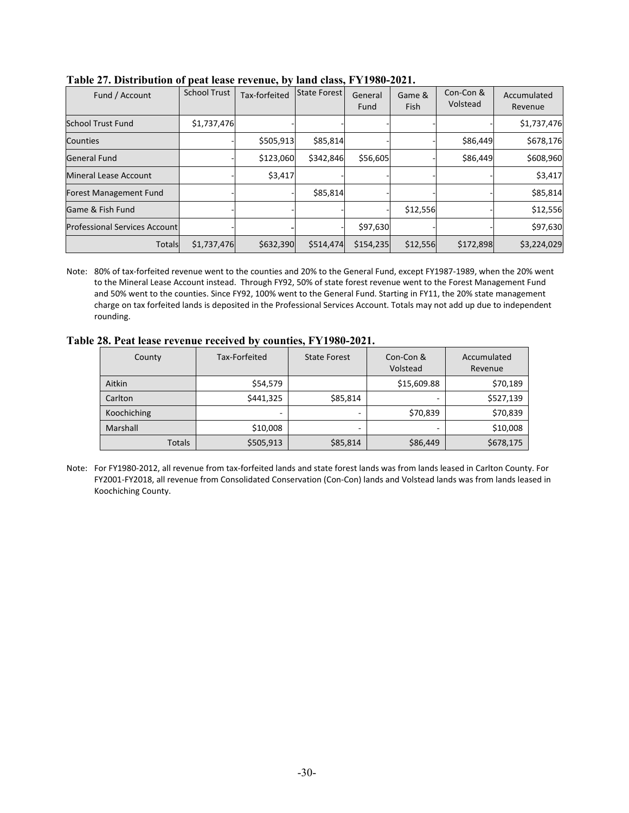| Fund / Account                       | <b>School Trust</b> | Tax-forfeited | State Forest | General<br>Fund | Game &<br><b>Fish</b> | Con-Con &<br>Volstead | Accumulated<br>Revenue |
|--------------------------------------|---------------------|---------------|--------------|-----------------|-----------------------|-----------------------|------------------------|
| <b>School Trust Fund</b>             | \$1,737,476         |               |              |                 |                       |                       | \$1,737,476            |
| Counties                             |                     | \$505,913     | \$85,814     |                 |                       | \$86,449              | \$678,176              |
| General Fund                         |                     | \$123,060     | \$342,846    | \$56,605        |                       | \$86,449              | \$608,960              |
| Mineral Lease Account                |                     | \$3,417       |              |                 |                       |                       | \$3,417                |
| <b>Forest Management Fund</b>        |                     |               | \$85,814     |                 |                       |                       | \$85,814               |
| Game & Fish Fund                     |                     |               |              |                 | \$12,556              |                       | \$12,556               |
| <b>Professional Services Account</b> |                     |               |              | \$97,630        |                       |                       | \$97,630               |
| <b>Totals</b>                        | \$1,737,476         | \$632,390     | \$514,474    | \$154,235       | \$12,556              | \$172,898             | \$3,224,029            |

<span id="page-30-0"></span>

|  |  | Table 27. Distribution of peat lease revenue, by land class, FY1980-2021. |
|--|--|---------------------------------------------------------------------------|
|--|--|---------------------------------------------------------------------------|

Note: 80% of tax-forfeited revenue went to the counties and 20% to the General Fund, except FY1987-1989, when the 20% went to the Mineral Lease Account instead. Through FY92, 50% of state forest revenue went to the Forest Management Fund and 50% went to the counties. Since FY92, 100% went to the General Fund. Starting in FY11, the 20% state management charge on tax forfeited lands is deposited in the Professional Services Account. Totals may not add up due to independent rounding.

<span id="page-30-1"></span>**Table 28. Peat lease revenue received by counties, FY1980-2021.** 

| County        | Tax-Forfeited | <b>State Forest</b> | Con-Con &<br>Volstead | Accumulated<br>Revenue |
|---------------|---------------|---------------------|-----------------------|------------------------|
| Aitkin        | \$54,579      |                     | \$15,609.88           | \$70,189               |
| Carlton       | \$441,325     | \$85,814            |                       | \$527,139              |
| Koochiching   | -             |                     | \$70,839              | \$70,839               |
| Marshall      | \$10,008      | -                   | -                     | \$10,008               |
| <b>Totals</b> | \$505,913     | \$85,814            | \$86,449              | \$678,175              |

Note: For FY1980-2012, all revenue from tax-forfeited lands and state forest lands was from lands leased in Carlton County. For FY2001-FY2018, all revenue from Consolidated Conservation (Con-Con) lands and Volstead lands was from lands leased in Koochiching County.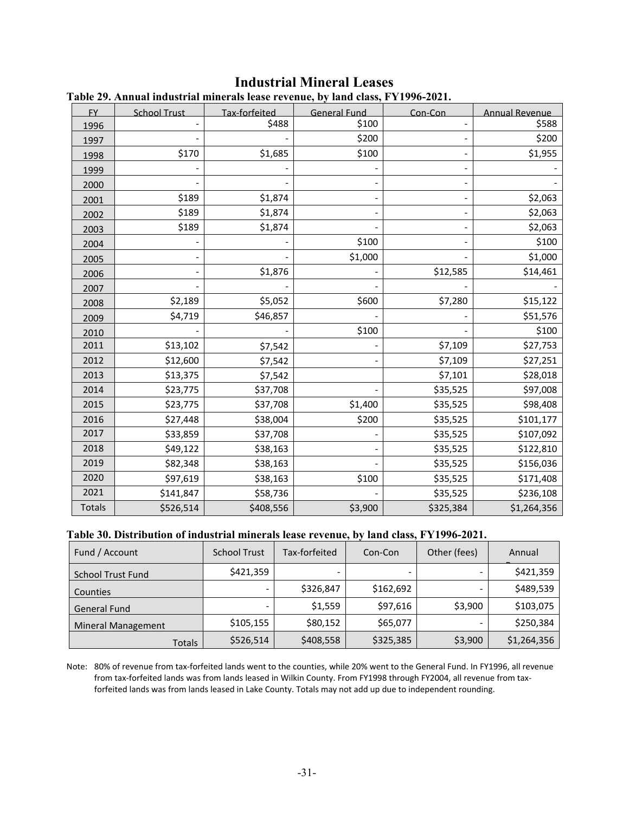| <b>FY</b>     | <b>School Trust</b> | Tax-forfeited | 419 IC49C TUTCHQG DJ TAHA CHO9G I 11220 2021.<br><b>General Fund</b> | Con-Con   | <b>Annual Revenue</b> |
|---------------|---------------------|---------------|----------------------------------------------------------------------|-----------|-----------------------|
| 1996          |                     | \$488         | \$100                                                                |           | \$588                 |
| 1997          |                     |               | \$200                                                                |           | \$200                 |
| 1998          | \$170               | \$1,685       | \$100                                                                |           | \$1,955               |
| 1999          |                     |               |                                                                      |           |                       |
| 2000          |                     |               |                                                                      |           |                       |
| 2001          | \$189               | \$1,874       |                                                                      |           | \$2,063               |
| 2002          | \$189               | \$1,874       |                                                                      |           | \$2,063               |
| 2003          | \$189               | \$1,874       |                                                                      |           | \$2,063               |
| 2004          |                     |               | \$100                                                                |           | \$100                 |
| 2005          |                     |               | \$1,000                                                              |           | \$1,000               |
| 2006          |                     | \$1,876       |                                                                      | \$12,585  | \$14,461              |
| 2007          |                     |               |                                                                      |           |                       |
| 2008          | \$2,189             | \$5,052       | \$600                                                                | \$7,280   | \$15,122              |
| 2009          | \$4,719             | \$46,857      |                                                                      |           | \$51,576              |
| 2010          |                     |               | \$100                                                                |           | \$100                 |
| 2011          | \$13,102            | \$7,542       |                                                                      | \$7,109   | \$27,753              |
| 2012          | \$12,600            | \$7,542       |                                                                      | \$7,109   | \$27,251              |
| 2013          | \$13,375            | \$7,542       |                                                                      | \$7,101   | \$28,018              |
| 2014          | \$23,775            | \$37,708      |                                                                      | \$35,525  | \$97,008              |
| 2015          | \$23,775            | \$37,708      | \$1,400                                                              | \$35,525  | \$98,408              |
| 2016          | \$27,448            | \$38,004      | \$200                                                                | \$35,525  | \$101,177             |
| 2017          | \$33,859            | \$37,708      |                                                                      | \$35,525  | \$107,092             |
| 2018          | \$49,122            | \$38,163      |                                                                      | \$35,525  | \$122,810             |
| 2019          | \$82,348            | \$38,163      |                                                                      | \$35,525  | \$156,036             |
| 2020          | \$97,619            | \$38,163      | \$100                                                                | \$35,525  | \$171,408             |
| 2021          | \$141,847           | \$58,736      |                                                                      | \$35,525  | \$236,108             |
| <b>Totals</b> | \$526,514           | \$408,556     | \$3,900                                                              | \$325,384 | \$1,264,356           |

## **Industrial Mineral Leases**

### <span id="page-31-1"></span><span id="page-31-0"></span>**Table 29. Annual industrial minerals lease revenue, by land class, FY1996-2021.**

#### <span id="page-31-2"></span>**Table 30. Distribution of industrial minerals lease revenue, by land class, FY1996-2021.**

| Fund / Account            | <b>School Trust</b>      | Tax-forfeited | Con-Con   | Other (fees) | Annual      |
|---------------------------|--------------------------|---------------|-----------|--------------|-------------|
| <b>School Trust Fund</b>  | \$421,359                | -             |           |              | \$421,359   |
| Counties                  | $\overline{\phantom{a}}$ | \$326,847     | \$162,692 |              | \$489,539   |
| <b>General Fund</b>       | $\overline{\phantom{0}}$ | \$1,559       | \$97,616  | \$3,900      | \$103,075   |
| <b>Mineral Management</b> | \$105,155                | \$80,152      | \$65,077  |              | \$250,384   |
| Totals                    | \$526,514                | \$408,558     | \$325,385 | \$3,900      | \$1,264,356 |

Note: 80% of revenue from tax-forfeited lands went to the counties, while 20% went to the General Fund. In FY1996, all revenue from tax-forfeited lands was from lands leased in Wilkin County. From FY1998 through FY2004, all revenue from taxforfeited lands was from lands leased in Lake County. Totals may not add up due to independent rounding.